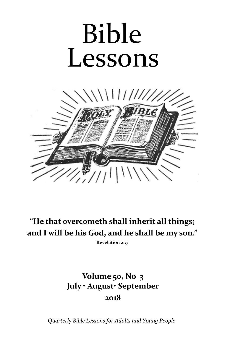# Bible Lessons



**"He that overcometh shall inherit all things; and I will be his God, and he shall be my son."**

**Revelation 21:7**

## **Volume 50, No 3 July • August• September 2018**

*Quarterly Bible Lessons for Adults and Young People*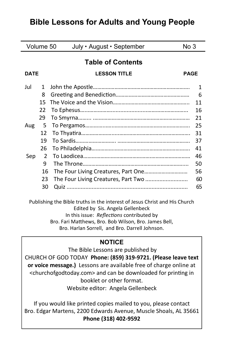### **Bible Lessons for Adults and Young People**

| Volume 50                |    | July • August • September<br>No 3  |    |
|--------------------------|----|------------------------------------|----|
| <b>Table of Contents</b> |    |                                    |    |
| <b>DATE</b>              |    | <b>LESSON TITLE</b><br><b>PAGE</b> |    |
| Jul                      | 1  |                                    | 1  |
|                          | 8  |                                    | 6  |
|                          | 15 |                                    | 11 |
|                          | 22 |                                    | 16 |
|                          | 29 |                                    | 21 |
| Aug                      | 5  |                                    | 25 |
|                          | 12 |                                    | 31 |
|                          | 19 |                                    | 37 |
|                          | 26 |                                    | 41 |
| Sep                      | 2  |                                    | 46 |
|                          | 9  |                                    | 50 |
|                          | 16 |                                    | 56 |
|                          | 23 |                                    | 60 |
|                          | 30 |                                    | 65 |
|                          |    |                                    |    |

Publishing the Bible truths in the interest of Jesus Christ and His Church Edited by Sis. Angela Gellenbeck In this issue: *Reflections* contributed by Bro. Fari Matthews, Bro. Bob Wilson, Bro. James Bell, Bro. Harlan Sorrell, and Bro. Darrell Johnson.

#### **NOTICE**

The Bible Lessons are published by CHURCH OF GOD TODAY **Phone: (859) 319-9721. (Please leave text or voice message.)** Lessons are available free of charge online at <churchofgodtoday.com> and can be downloaded for printing in booklet or other format. Website editor: Angela Gellenbeck

If you would like printed copies mailed to you, please contact Bro. Edgar Martens, 2200 Edwards Avenue, Muscle Shoals, AL 35661 **Phone (318) 402-9592**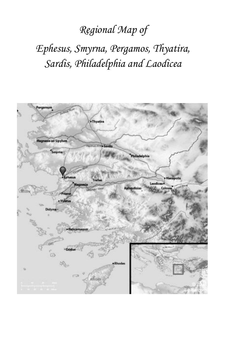## *Regional Map of*

## *Ephesus, Smyrna, Pergamos, Thyatira, Sardis, Philadelphia and Laodicea*

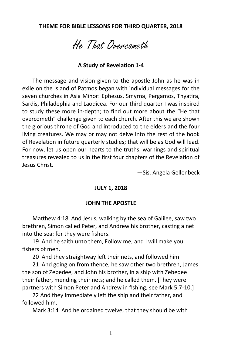He That Overcometh

#### **A Study of Revelation 1-4**

The message and vision given to the apostle John as he was in exile on the island of Patmos began with individual messages for the seven churches in Asia Minor: Ephesus, Smyrna, Pergamos, Thyatira, Sardis, Philadephia and Laodicea. For our third quarter I was inspired to study these more in-depth; to find out more about the "He that overcometh" challenge given to each church. After this we are shown the glorious throne of God and introduced to the elders and the four living creatures. We may or may not delve into the rest of the book of Revelation in future quarterly studies; that will be as God will lead. For now, let us open our hearts to the truths, warnings and spiritual treasures revealed to us in the first four chapters of the Revelation of Jesus Christ.

—Sis. Angela Gellenbeck

#### **JULY 1, 2018**

#### **JOHN THE APOSTLE**

Matthew 4:18 And Jesus, walking by the sea of Galilee, saw two brethren, Simon called Peter, and Andrew his brother, casting a net into the sea: for they were fishers.

19 And he saith unto them, Follow me, and I will make you fishers of men.

20 And they straightway left their nets, and followed him.

21 And going on from thence, he saw other two brethren, James the son of Zebedee, and John his brother, in a ship with Zebedee their father, mending their nets; and he called them. [They were partners with Simon Peter and Andrew in fishing; see Mark 5:7-10.]

22 And they immediately left the ship and their father, and followed him.

Mark 3:14 And he ordained twelve, that they should be with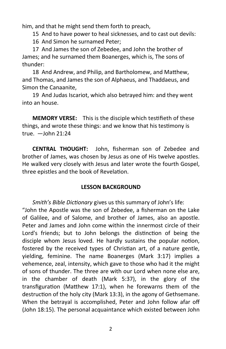him, and that he might send them forth to preach,

15 And to have power to heal sicknesses, and to cast out devils:

16 And Simon he surnamed Peter;

17 And James the son of Zebedee, and John the brother of James; and he surnamed them Boanerges, which is, The sons of thunder:

18 And Andrew, and Philip, and Bartholomew, and Matthew, and Thomas, and James the son of Alphaeus, and Thaddaeus, and Simon the Canaanite,

19 And Judas Iscariot, which also betrayed him: and they went into an house.

**MEMORY VERSE:** This is the disciple which testifieth of these things, and wrote these things: and we know that his testimony is true. —John 21:24

**CENTRAL THOUGHT:** John, fisherman son of Zebedee and brother of James, was chosen by Jesus as one of His twelve apostles. He walked very closely with Jesus and later wrote the fourth Gospel, three epistles and the book of Revelation.

#### **LESSON BACKGROUND**

*Smith's Bible Dictionary* gives us this summary of John's life: "John the Apostle was the son of Zebedee, a fisherman on the Lake of Galilee, and of Salome, and brother of James, also an apostle. Peter and James and John come within the innermost circle of their Lord's friends; but to John belongs the distinction of being the disciple whom Jesus loved. He hardly sustains the popular notion, fostered by the received types of Christian art, of a nature gentle, yielding, feminine. The name Boanerges (Mark 3:17) implies a vehemence, zeal, intensity, which gave to those who had it the might of sons of thunder. The three are with our Lord when none else are, in the chamber of death (Mark 5:37), in the glory of the transfiguration (Matthew 17:1), when he forewarns them of the destruction of the holy city (Mark 13:3), in the agony of Gethsemane. When the betrayal is accomplished, Peter and John follow afar off (John 18:15). The personal acquaintance which existed between John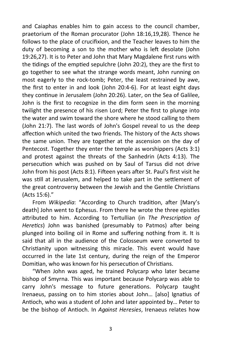and Caiaphas enables him to gain access to the council chamber, praetorium of the Roman procurator (John 18:16,19,28). Thence he follows to the place of crucifixion, and the Teacher leaves to him the duty of becoming a son to the mother who is left desolate (John 19:26,27). It is to Peter and John that Mary Magdalene first runs with the tidings of the emptied sepulchre (John 20:2), they are the first to go together to see what the strange words meant, John running on most eagerly to the rock-tomb; Peter, the least restrained by awe, the first to enter in and look (John 20:4-6). For at least eight days they continue in Jerusalem (John 20:26). Later, on the Sea of Galilee, John is the first to recognize in the dim form seen in the morning twilight the presence of his risen Lord; Peter the first to plunge into the water and swim toward the shore where he stood calling to them (John 21:7). The last words of John's Gospel reveal to us the deep affection which united the two friends. The history of the Acts shows the same union. They are together at the ascension on the day of Pentecost. Together they enter the temple as worshippers (Acts 3:1) and protest against the threats of the Sanhedrin (Acts 4:13). The persecution which was pushed on by Saul of Tarsus did not drive John from his post (Acts 8:1). Fifteen years after St. Paul's first visit he was still at Jerusalem, and helped to take part in the settlement of the great controversy between the Jewish and the Gentile Christians (Acts 15:6)."

From *Wikipedia*: "According to Church tradition, after [Mary's death] John went to Ephesus. From there he wrote the three epistles attributed to him. According to Tertullian (in *The Prescription of Heretics*) John was banished (presumably to Patmos) after being plunged into boiling oil in Rome and suffering nothing from it. It is said that all in the audience of the Colosseum were converted to Christianity upon witnessing this miracle. This event would have occurred in the late 1st century, during the reign of the Emperor Domitian, who was known for his persecution of Christians.

"When John was aged, he trained Polycarp who later became bishop of Smyrna. This was important because Polycarp was able to carry John's message to future generations. Polycarp taught Irenaeus, passing on to him stories about John… [also] Ignatius of Antioch, who was a student of John and later appointed by… Peter to be the bishop of Antioch. In *Against Heresies*, Irenaeus relates how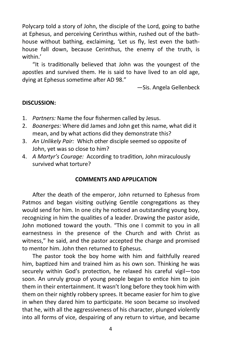Polycarp told a story of John, the disciple of the Lord, going to bathe at Ephesus, and perceiving Cerinthus within, rushed out of the bathhouse without bathing, exclaiming, 'Let us fly, lest even the bathhouse fall down, because Cerinthus, the enemy of the truth, is within.'

"It is traditionally believed that John was the youngest of the apostles and survived them. He is said to have lived to an old age, dying at Ephesus sometime after AD 98."

—Sis. Angela Gellenbeck

#### **DISCUSSION:**

- 1. *Partners:* Name the four fishermen called by Jesus.
- 2. *Boanerges:* Where did James and John get this name, what did it mean, and by what actions did they demonstrate this?
- 3. *An Unlikely Pair:* Which other disciple seemed so opposite of John, yet was so close to him?
- 4. *A Martyr's Courage:* According to tradition, John miraculously survived what torture?

#### **COMMENTS AND APPLICATION**

After the death of the emperor, John returned to Ephesus from Patmos and began visiting outlying Gentile congregations as they would send for him. In one city he noticed an outstanding young boy, recognizing in him the qualities of a leader. Drawing the pastor aside, John motioned toward the youth. "This one I commit to you in all earnestness in the presence of the Church and with Christ as witness," he said, and the pastor accepted the charge and promised to mentor him. John then returned to Ephesus.

The pastor took the boy home with him and faithfully reared him, baptized him and trained him as his own son. Thinking he was securely within God's protection, he relaxed his careful vigil—too soon. An unruly group of young people began to entice him to join them in their entertainment. It wasn't long before they took him with them on their nightly robbery sprees. It became easier for him to give in when they dared him to participate. He soon became so involved that he, with all the aggressiveness of his character, plunged violently into all forms of vice, despairing of any return to virtue, and became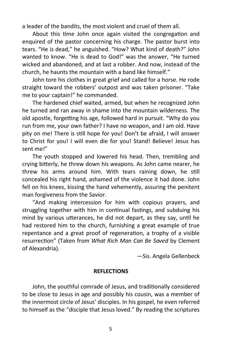a leader of the bandits, the most violent and cruel of them all.

About this time John once again visited the congregation and enquired of the pastor concerning his charge. The pastor burst into tears. "He is dead," he anguished. "How? What kind of death?" John wanted to know. "He is dead to God!" was the answer, "He turned wicked and abandoned, and at last a robber. And now, instead of the church, he haunts the mountain with a band like himself."

John tore his clothes in great grief and called for a horse. He rode straight toward the robbers' outpost and was taken prisoner. "Take me to your captain!" he commanded.

The hardened chief waited, armed, but when he recognized John he turned and ran away in shame into the mountain wilderness. The old apostle, forgetting his age, followed hard in pursuit. "Why do you run from me, your own father? I have no weapon, and I am old. Have pity on me! There is still hope for you! Don't be afraid, I will answer to Christ for you! I will even die for you! Stand! Believe! Jesus has sent me!"

The youth stopped and lowered his head. Then, trembling and crying bitterly, he threw down his weapons. As John came nearer, he threw his arms around him. With tears raining down, he still concealed his right hand, ashamed of the violence it had done. John fell on his knees, kissing the hand vehemently, assuring the penitent man forgiveness from the Savior.

"And making intercession for him with copious prayers, and struggling together with him in continual fastings, and subduing his mind by various utterances, he did not depart, as they say, until he had restored him to the church, furnishing a great example of true repentance and a great proof of regeneration, a trophy of a visible resurrection" (Taken from *What Rich Man Can Be Saved* by Clement of Alexandria).

—Sis. Angela Gellenbeck

#### **REFLECTIONS**

John, the youthful comrade of Jesus, and traditionally considered to be close to Jesus in age and possibly his cousin, was a member of the innermost circle of Jesus' disciples. In his gospel, he even referred to himself as the "disciple that Jesus loved." By reading the scriptures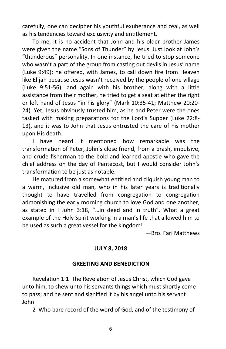carefully, one can decipher his youthful exuberance and zeal, as well as his tendencies toward exclusivity and entitlement.

To me, it is no accident that John and his older brother James were given the name "Sons of Thunder" by Jesus. Just look at John's "thunderous" personality. In one instance, he tried to stop someone who wasn't a part of the group from casting out devils in Jesus' name (Luke 9:49); he offered, with James, to call down fire from Heaven like Elijah because Jesus wasn't received by the people of one village (Luke 9:51-56); and again with his brother, along with a little assistance from their mother, he tried to get a seat at either the right or left hand of Jesus "in his glory" (Mark 10:35-41; Matthew 20:20- 24). Yet, Jesus obviously trusted him, as he and Peter were the ones tasked with making preparations for the Lord's Supper (Luke 22:8- 13), and it was to John that Jesus entrusted the care of his mother upon His death.

I have heard it mentioned how remarkable was the transformation of Peter, John's close friend, from a brash, impulsive, and crude fisherman to the bold and learned apostle who gave the chief address on the day of Pentecost, but I would consider John's transformation to be just as notable.

He matured from a somewhat entitled and cliquish young man to a warm, inclusive old man, who in his later years is traditionally thought to have travelled from congregation to congregation admonishing the early morning church to love God and one another, as stated in I John 3:18, "…in deed and in truth". What a great example of the Holy Spirit working in a man's life that allowed him to be used as such a great vessel for the kingdom!

—Bro. Fari Matthews

#### **JULY 8, 2018**

#### **GREETING AND BENEDICTION**

Revelation 1:1 The Revelation of Jesus Christ, which God gave unto him, to shew unto his servants things which must shortly come to pass; and he sent and signified it by his angel unto his servant John:

2 Who bare record of the word of God, and of the testimony of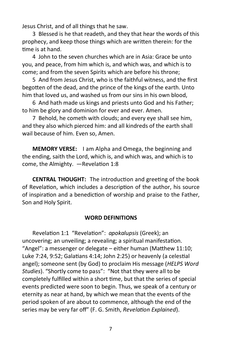Jesus Christ, and of all things that he saw.

3 Blessed is he that readeth, and they that hear the words of this prophecy, and keep those things which are written therein: for the time is at hand.

4 John to the seven churches which are in Asia: Grace be unto you, and peace, from him which is, and which was, and which is to come; and from the seven Spirits which are before his throne;

5 And from Jesus Christ, who is the faithful witness, and the first begotten of the dead, and the prince of the kings of the earth. Unto him that loved us, and washed us from our sins in his own blood,

6 And hath made us kings and priests unto God and his Father; to him be glory and dominion for ever and ever. Amen.

7 Behold, he cometh with clouds; and every eye shall see him, and they also which pierced him: and all kindreds of the earth shall wail because of him. Even so, Amen.

**MEMORY VERSE:** I am Alpha and Omega, the beginning and the ending, saith the Lord, which is, and which was, and which is to come, the Almighty. —Revelation 1:8

**CENTRAL THOUGHT:** The introduction and greeting of the book of Revelation, which includes a description of the author, his source of inspiration and a benediction of worship and praise to the Father, Son and Holy Spirit.

#### **WORD DEFINITIONS**

Revelation 1:1 "Revelation": *apokalupsis* (Greek); an uncovering; an unveiling; a revealing; a spiritual manifestation. "Angel": a messenger or delegate – either human (Matthew 11:10; Luke 7:24, 9:52; Galatians 4:14; John 2:25) or heavenly (a celestial angel); someone sent (by God) to proclaim His message (*HELPS Word Studies*). "Shortly come to pass": "Not that they were all to be completely fulfilled within a short time, but that the series of special events predicted were soon to begin. Thus, we speak of a century or eternity as near at hand, by which we mean that the events of the period spoken of are about to commence, although the end of the series may be very far off" (F. G. Smith, *Revelation Explained*).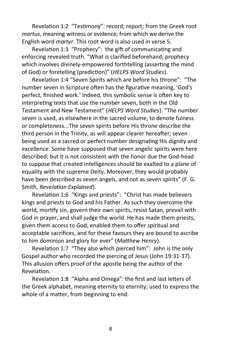Revelation 1:2 "Testimony": record; report; from the Greek root *martus*, meaning witness or evidence; from which we derive the English word *martyr*. This root word is also used in verse 5.

Revelation 1:3 "Prophecy": the gift of communicating and enforcing revealed truth. "What is clarified beforehand; prophecy which involves divinely-empowered forthtelling (asserting the mind of God) or foretelling (prediction)" (*HELPS Word Studies*).

Revelation 1:4 "Seven Spirits which are before his throne": "The number seven in Scripture often has the figurative meaning, 'God's perfect, finished work.' Indeed, this symbolic sense is often key to interpreting texts that use the number seven, both in the Old Testament and New Testament" (*HELPS Word Studies*). "The number seven is used, as elsewhere in the sacred volume, to denote fulness or completeness...The seven spirits before His throne describe the third person in the Trinity, as will appear clearer hereafter; seven being used as a sacred or perfect number designating His dignity and excellence. Some have supposed that seven angelic spirits were here described; but it is not consistent with the honor due the God-head to suppose that created intelligences should be exalted to a plane of equality with the supreme Deity. Moreover, they would probably have been described as seven angels, and not as seven spirits" (F. G. Smith, *Revelation Explained*).

Revelation 1:6 "Kings and priests": "Christ has made believers kings and priests to God and his Father. As such they overcome the world, mortify sin, govern their own spirits, resist Satan, prevail with God in prayer, and shall judge the world. He has made them priests, given them access to God, enabled them to offer spiritual and acceptable sacrifices, and for these favours they are bound to ascribe to him dominion and glory for ever" (*Matthew Henry*).

Revelation 1:7 "They also which pierced him": John is the only Gospel author who recorded the piercing of Jesus (John 19:31-37). This allusion offers proof of the apostle being the author of the Revelation.

Revelation 1:8 "Alpha and Omega": the first and last letters of the Greek alphabet, meaning eternity to eternity; used to express the whole of a matter, from beginning to end.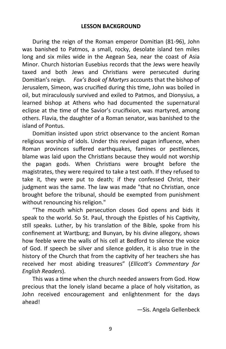During the reign of the Roman emperor Domitian (81-96), John was banished to Patmos, a small, rocky, desolate island ten miles long and six miles wide in the Aegean Sea, near the coast of Asia Minor. Church historian Eusebius records that the Jews were heavily taxed and both Jews and Christians were persecuted during Domitian's reign. *Fox's Book of Martyrs* accounts that the bishop of Jerusalem, Simeon, was crucified during this time, John was boiled in oil, but miraculously survived and exiled to Patmos, and Dionysius, a learned bishop at Athens who had documented the supernatural eclipse at the time of the Savior's crucifixion, was martyred, among others. Flavia, the daughter of a Roman senator, was banished to the island of Pontus.

Domitian insisted upon strict observance to the ancient Roman religious worship of idols. Under this revived pagan influence, when Roman provinces suffered earthquakes, famines or pestilences, blame was laid upon the Christians because they would not worship the pagan gods. When Christians were brought before the magistrates, they were required to take a test oath. If they refused to take it, they were put to death; if they confessed Christ, their judgment was the same. The law was made "that no Christian, once brought before the tribunal, should be exempted from punishment without renouncing his religion."

"The mouth which persecution closes God opens and bids it speak to the world. So St. Paul, through the Epistles of his Captivity, still speaks. Luther, by his translation of the Bible, spoke from his confinement at Wartburg; and Bunyan, by his divine allegory, shows how feeble were the walls of his cell at Bedford to silence the voice of God. If speech be silver and silence golden, it is also true in the history of the Church that from the captivity of her teachers she has received her most abiding treasures" (*Ellicott's Commentary for English Readers*).

This was a time when the church needed answers from God. How precious that the lonely island became a place of holy visitation, as John received encouragement and enlightenment for the days ahead!

—Sis. Angela Gellenbeck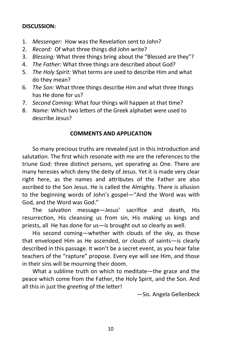#### **DISCUSSION:**

- 1. *Messenger:* How was the Revelation sent to John?
- 2. *Record:* Of what three things did John write?
- 3. *Blessing:* What three things bring about the "Blessed are they"?
- 4. *The Father:* What three things are described about God?
- 5. *The Holy Spirit:* What terms are used to describe Him and what do they mean?
- 6. *The Son:* What three things describe Him and what three things has He done for us?
- 7. *Second Coming:* What four things will happen at that time?
- 8. *Name:* Which two letters of the Greek alphabet were used to describe Jesus?

#### **COMMENTS AND APPLICATION**

So many precious truths are revealed just in this introduction and salutation. The first which resonate with me are the references to the triune God: three distinct persons, yet operating as One. There are many heresies which deny the deity of Jesus. Yet it is made very clear right here, as the names and attributes of the Father are also ascribed to the Son Jesus. He is called the Almighty. There is allusion to the beginning words of John's gospel—"And the Word was with God, and the Word was God."

The salvation message—Jesus' sacrifice and death, His resurrection, His cleansing us from sin, His making us kings and priests, all He has done for us—is brought out so clearly as well.

His second coming—whether with clouds of the sky, as those that enveloped Him as He ascended, or clouds of saints—is clearly described in this passage. It won't be a secret event, as you hear false teachers of the "rapture" propose. Every eye will see Him, and those in their sins will be mourning their doom.

What a sublime truth on which to meditate—the grace and the peace which come from the Father, the Holy Spirit, and the Son. And all this in just the greeting of the letter!

—Sis. Angela Gellenbeck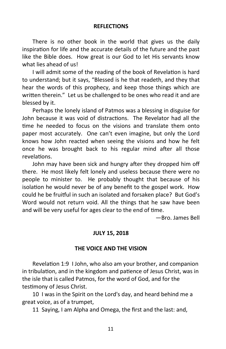#### **REFLECTIONS**

There is no other book in the world that gives us the daily inspiration for life and the accurate details of the future and the past like the Bible does. How great is our God to let His servants know what lies ahead of us!

I will admit some of the reading of the book of Revelation is hard to understand; but it says, "Blessed is he that readeth, and they that hear the words of this prophecy, and keep those things which are written therein." Let us be challenged to be ones who read it and are blessed by it.

Perhaps the lonely island of Patmos was a blessing in disguise for John because it was void of distractions. The Revelator had all the time he needed to focus on the visions and translate them onto paper most accurately. One can't even imagine, but only the Lord knows how John reacted when seeing the visions and how he felt once he was brought back to his regular mind after all those revelations.

John may have been sick and hungry after they dropped him off there. He most likely felt lonely and useless because there were no people to minister to. He probably thought that because of his isolation he would never be of any benefit to the gospel work. How could he be fruitful in such an isolated and forsaken place? But God's Word would not return void. All the things that he saw have been and will be very useful for ages clear to the end of time.

—Bro. James Bell

#### **JULY 15, 2018**

#### **THE VOICE AND THE VISION**

Revelation 1:9 I John, who also am your brother, and companion in tribulation, and in the kingdom and patience of Jesus Christ, was in the isle that is called Patmos, for the word of God, and for the testimony of Jesus Christ.

10 I was in the Spirit on the Lord's day, and heard behind me a great voice, as of a trumpet,

11 Saying, I am Alpha and Omega, the first and the last: and,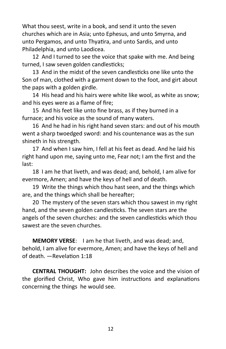What thou seest, write in a book, and send it unto the seven churches which are in Asia; unto Ephesus, and unto Smyrna, and unto Pergamos, and unto Thyatira, and unto Sardis, and unto Philadelphia, and unto Laodicea.

12 And I turned to see the voice that spake with me. And being turned, I saw seven golden candlesticks;

13 And in the midst of the seven candlesticks one like unto the Son of man, clothed with a garment down to the foot, and girt about the paps with a golden girdle.

14 His head and his hairs were white like wool, as white as snow; and his eyes were as a flame of fire;

15 And his feet like unto fine brass, as if they burned in a furnace; and his voice as the sound of many waters.

16 And he had in his right hand seven stars: and out of his mouth went a sharp twoedged sword: and his countenance was as the sun shineth in his strength.

17 And when I saw him, I fell at his feet as dead. And he laid his right hand upon me, saying unto me, Fear not; I am the first and the last:

18 I am he that liveth, and was dead; and, behold, I am alive for evermore, Amen; and have the keys of hell and of death.

19 Write the things which thou hast seen, and the things which are, and the things which shall be hereafter;

20 The mystery of the seven stars which thou sawest in my right hand, and the seven golden candlesticks. The seven stars are the angels of the seven churches: and the seven candlesticks which thou sawest are the seven churches.

**MEMORY VERSE**: I am he that liveth, and was dead; and, behold, I am alive for evermore, Amen; and have the keys of hell and of death. —Revelation 1:18

**CENTRAL THOUGHT:** John describes the voice and the vision of the glorified Christ, Who gave him instructions and explanations concerning the things he would see.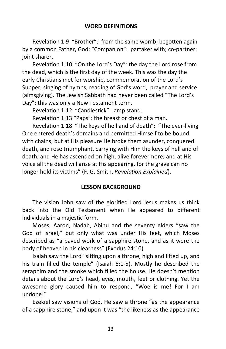Revelation 1:9 "Brother": from the same womb; begotten again by a common Father, God; "Companion": partaker with; co-partner; joint sharer.

Revelation 1:10 "On the Lord's Day": the day the Lord rose from the dead, which is the first day of the week. This was the day the early Christians met for worship, commemoration of the Lord's Supper, singing of hymns, reading of God's word, prayer and service (almsgiving). The Jewish Sabbath had never been called "The Lord's Day"; this was only a New Testament term.

Revelation 1:12 "Candlestick": lamp stand.

Revelation 1:13 "Paps": the breast or chest of a man.

Revelation 1:18 "The keys of hell and of death": "The ever-living One entered death's domains and permitted Himself to be bound with chains; but at His pleasure He broke them asunder, conquered death, and rose triumphant, carrying with Him the keys of hell and of death; and He has ascended on high, alive forevermore; and at His voice all the dead will arise at His appearing, for the grave can no longer hold its victims" (F. G. Smith, *Revelation Explained*).

#### **LESSON BACKGROUND**

The vision John saw of the glorified Lord Jesus makes us think back into the Old Testament when He appeared to different individuals in a majestic form.

Moses, Aaron, Nadab, Abihu and the seventy elders "saw the God of Israel," but only what was under His feet, which Moses described as "a paved work of a sapphire stone, and as it were the body of heaven in his clearness" (Exodus 24:10).

Isaiah saw the Lord "sitting upon a throne, high and lifted up, and his train filled the temple" (Isaiah 6:1-5). Mostly he described the seraphim and the smoke which filled the house. He doesn't mention details about the Lord's head, eyes, mouth, feet or clothing. Yet the awesome glory caused him to respond, "Woe is me! For I am undone!"

Ezekiel saw visions of God. He saw a throne "as the appearance of a sapphire stone," and upon it was "the likeness as the appearance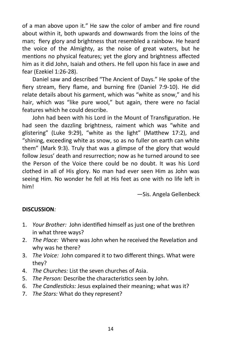of a man above upon it." He saw the color of amber and fire round about within it, both upwards and downwards from the loins of the man; fiery glory and brightness that resembled a rainbow. He heard the voice of the Almighty, as the noise of great waters, but he mentions no physical features; yet the glory and brightness affected him as it did John, Isaiah and others. He fell upon his face in awe and fear (Ezekiel 1:26-28).

Daniel saw and described "The Ancient of Days." He spoke of the fiery stream, fiery flame, and burning fire (Daniel 7:9-10). He did relate details about his garment, which was "white as snow," and his hair, which was "like pure wool," but again, there were no facial features which he could describe.

John had been with his Lord in the Mount of Transfiguration. He had seen the dazzling brightness, raiment which was "white and glistering" (Luke 9:29), "white as the light" (Matthew 17:2), and "shining, exceeding white as snow, so as no fuller on earth can white them" (Mark 9:3). Truly that was a glimpse of the glory that would follow Jesus' death and resurrection; now as he turned around to see the Person of the Voice there could be no doubt. It was his Lord clothed in all of His glory. No man had ever seen Him as John was seeing Him. No wonder he fell at His feet as one with no life left in him!

—Sis. Angela Gellenbeck

#### **DISCUSSION***:*

- 1. *Your Brother:* John identified himself as just one of the brethren in what three ways?
- 2. *The Place:* Where was John when he received the Revelation and why was he there?
- 3. *The Voice:* John compared it to two different things. What were they?
- 4. *The Churches:* List the seven churches of Asia.
- 5. *The Person:* Describe the characteristics seen by John.
- 6. *The Candlesticks:* Jesus explained their meaning; what was it?
- 7. *The Stars:* What do they represent?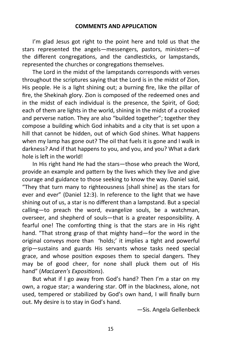I'm glad Jesus got right to the point here and told us that the stars represented the angels—messengers, pastors, ministers—of the different congregations, and the candlesticks, or lampstands, represented the churches or congregations themselves.

The Lord in the midst of the lampstands corresponds with verses throughout the scriptures saying that the Lord is in the midst of Zion, His people. He is a light shining out; a burning fire, like the pillar of fire, the Shekinah glory. Zion is composed of the redeemed ones and in the midst of each individual is the presence, the Spirit, of God; each of them are lights in the world, shining in the midst of a crooked and perverse nation. They are also "builded together"; together they compose a building which God inhabits and a city that is set upon a hill that cannot be hidden, out of which God shines. What happens when my lamp has gone out? The oil that fuels it is gone and I walk in darkness? And if that happens to you, and you, and you? What a dark hole is left in the world!

In His right hand He had the stars—those who preach the Word, provide an example and pattern by the lives which they live and give courage and guidance to those seeking to know the way. Daniel said, "They that turn many to righteousness [shall shine] as the stars for ever and ever" (Daniel 12:3). In reference to the light that we have shining out of us, a star is no different than a lampstand. But a special calling—to preach the word, evangelize souls, be a watchman, overseer, and shepherd of souls—that is a greater responsibility. A fearful one! The comforting thing is that the stars are in His right hand. "That strong grasp of that mighty hand—for the word in the original conveys more than 'holds;' it implies a tight and powerful grip—sustains and guards His servants whose tasks need special grace, and whose position exposes them to special dangers. They may be of good cheer, for none shall pluck them out of His hand" (*MacLaren's Expositions*).

But what if I go away from God's hand? Then I'm a star on my own, a rogue star; a wandering star. Off in the blackness, alone, not used, tempered or stabilized by God's own hand, I will finally burn out. My desire is to stay in God's hand.

—Sis. Angela Gellenbeck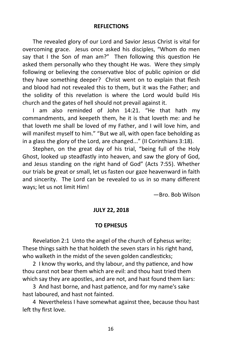#### **REFLECTIONS**

The revealed glory of our Lord and Savior Jesus Christ is vital for overcoming grace. Jesus once asked his disciples, "Whom do men say that I the Son of man am?" Then following this question He asked them personally who they thought He was. Were they simply following or believing the conservative bloc of public opinion or did they have something deeper? Christ went on to explain that flesh and blood had not revealed this to them, but it was the Father; and the solidity of this revelation is where the Lord would build His church and the gates of hell should not prevail against it.

I am also reminded of John 14:21. "He that hath my commandments, and keepeth them, he it is that loveth me: and he that loveth me shall be loved of my Father, and I will love him, and will manifest myself to him." "But we all, with open face beholding as in a glass the glory of the Lord, are changed..." (II Corinthians 3:18).

Stephen, on the great day of his trial, "being full of the Holy Ghost, looked up steadfastly into heaven, and saw the glory of God, and Jesus standing on the right hand of God" (Acts 7:55). Whether our trials be great or small, let us fasten our gaze heavenward in faith and sincerity. The Lord can be revealed to us in so many different ways; let us not limit Him!

—Bro. Bob Wilson

#### **JULY 22, 2018**

#### **TO EPHESUS**

Revelation 2:1 Unto the angel of the church of Ephesus write; These things saith he that holdeth the seven stars in his right hand, who walketh in the midst of the seven golden candlesticks;

2 I know thy works, and thy labour, and thy patience, and how thou canst not bear them which are evil: and thou hast tried them which say they are apostles, and are not, and hast found them liars:

3 And hast borne, and hast patience, and for my name's sake hast laboured, and hast not fainted.

4 Nevertheless I have somewhat against thee, because thou hast left thy first love.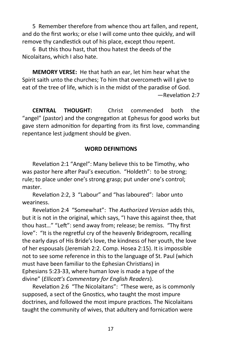5 Remember therefore from whence thou art fallen, and repent, and do the first works; or else I will come unto thee quickly, and will remove thy candlestick out of his place, except thou repent.

6 But this thou hast, that thou hatest the deeds of the Nicolaitans, which I also hate.

**MEMORY VERSE:** He that hath an ear, let him hear what the Spirit saith unto the churches; To him that overcometh will I give to eat of the tree of life, which is in the midst of the paradise of God. —Revelation 2:7

**CENTRAL THOUGHT:** Christ commended both the "angel" (pastor) and the congregation at Ephesus for good works but gave stern admonition for departing from its first love, commanding repentance lest judgment should be given.

#### **WORD DEFINITIONS**

Revelation 2:1 "Angel": Many believe this to be Timothy, who was pastor here after Paul's execution. "Holdeth": to be strong; rule; to place under one's strong grasp; put under one's control; master.

Revelation 2:2, 3 "Labour" and "has laboured": labor unto weariness.

Revelation 2:4 "Somewhat": The *Authorized Version* adds this, but it is not in the original, which says, "I have this against thee, that thou hast…" "Left": send away from; release; be remiss. "Thy first love": "It is the regretful cry of the heavenly Bridegroom, recalling the early days of His Bride's love, the kindness of her youth, the love of her espousals (Jeremiah 2:2. Comp. Hosea 2:15). It is impossible not to see some reference in this to the language of St. Paul (which must have been familiar to the Ephesian Christians) in Ephesians 5:23-33, where human love is made a type of the divine" (*Ellicott's Commentary for English Readers*).

Revelation 2:6 "The Nicolaitans": "These were, as is commonly supposed, a sect of the Gnostics, who taught the most impure doctrines, and followed the most impure practices. The Nicolaitans taught the community of wives, that adultery and fornication were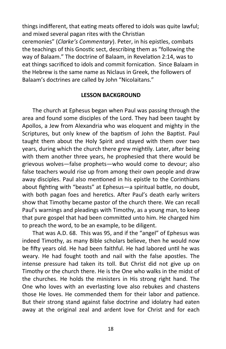things indifferent, that eating meats offered to idols was quite lawful; and mixed several pagan rites with the Christian ceremonies" (*Clarke's Commentary*). Peter, in his epistles, combats the teachings of this Gnostic sect, describing them as "following the way of Balaam." The doctrine of Balaam, in Revelation 2:14, was to eat things sacrificed to idols and commit fornication. Since Balaam in the Hebrew is the same name as Niclaus in Greek, the followers of Balaam's doctrines are called by John "Nicolaitans."

#### **LESSON BACKGROUND**

The church at Ephesus began when Paul was passing through the area and found some disciples of the Lord. They had been taught by Apollos, a Jew from Alexandria who was eloquent and mighty in the Scriptures, but only knew of the baptism of John the Baptist. Paul taught them about the Holy Spirit and stayed with them over two years, during which the church there grew mightily. Later, after being with them another three years, he prophesied that there would be grievous wolves—false prophets—who would come to devour; also false teachers would rise up from among their own people and draw away disciples. Paul also mentioned in his epistle to the Corinthians about fighting with "beasts" at Ephesus—a spiritual battle, no doubt, with both pagan foes and heretics. After Paul's death early writers show that Timothy became pastor of the church there. We can recall Paul's warnings and pleadings with Timothy, as a young man, to keep that pure gospel that had been committed unto him. He charged him to preach the word, to be an example, to be diligent.

That was A.D. 68. This was 95, and if the "angel" of Ephesus was indeed Timothy, as many Bible scholars believe, then he would now be fifty years old. He had been faithful. He had labored until he was weary. He had fought tooth and nail with the false apostles. The intense pressure had taken its toll. But Christ did not give up on Timothy or the church there. He is the One who walks in the midst of the churches. He holds the ministers in His strong right hand. The One who loves with an everlasting love also rebukes and chastens those He loves. He commended them for their labor and patience. But their strong stand against false doctrine and idolatry had eaten away at the original zeal and ardent love for Christ and for each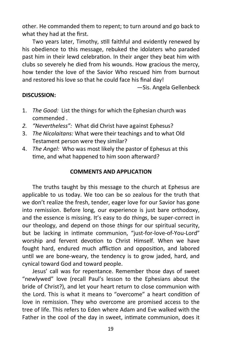other. He commanded them to repent; to turn around and go back to what they had at the first.

Two years later, Timothy, still faithful and evidently renewed by his obedience to this message, rebuked the idolaters who paraded past him in their lewd celebration. In their anger they beat him with clubs so severely he died from his wounds. How gracious the mercy, how tender the love of the Savior Who rescued him from burnout and restored his love so that he could face his final day!

—Sis. Angela Gellenbeck

#### **DISCUSSION:**

- 1. *The Good:* List the things for which the Ephesian church was commended .
- *2. "Nevertheless":* What did Christ have against Ephesus?
- 3. *The Nicolaitans:* What were their teachings and to what Old Testament person were they similar?
- 4. *The Angel:* Who was most likely the pastor of Ephesus at this time, and what happened to him soon afterward?

#### **COMMENTS AND APPLICATION**

The truths taught by this message to the church at Ephesus are applicable to us today. We too can be so zealous for the truth that we don't realize the fresh, tender, eager love for our Savior has gone into remission. Before long, our experience is just bare orthodoxy, and the essence is missing. It's easy to do *things*, be super-correct in our theology, and depend on those *things* for our spiritual security, but be lacking in intimate communion, "just-for-love-of-You-Lord" worship and fervent devotion to Christ Himself. When we have fought hard, endured much affliction and opposition, and labored until we are bone-weary, the tendency is to grow jaded, hard, and cynical toward God and toward people.

Jesus' call was for repentance. Remember those days of sweet "newlywed" love (recall Paul's lesson to the Ephesians about the bride of Christ?), and let your heart return to close communion with the Lord. This is what it means to "overcome" a heart condition of love in remission. They who overcome are promised access to the tree of life. This refers to Eden where Adam and Eve walked with the Father in the cool of the day in sweet, intimate communion, does it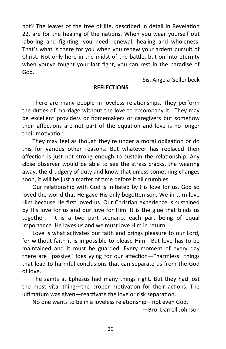not? The leaves of the tree of life, described in detail in Revelation 22, are for the healing of the nations. When you wear yourself out laboring and fighting, you need renewal, healing and wholeness. That's what is there for you when you renew your ardent pursuit of Christ. Not only here in the midst of the battle, but on into eternity when you've fought your last fight, you can rest in the paradise of God.

—Sis. Angela Gellenbeck

#### **REFLECTIONS**

There are many people in loveless relationships. They perform the duties of marriage without the love to accompany it. They may be excellent providers or homemakers or caregivers but somehow their affections are not part of the equation and love is no longer their motivation.

They may feel as though they're under a moral obligation or do this for various other reasons. But whatever has replaced their affection is just not strong enough to sustain the relationship. Any close observer would be able to see the stress cracks, the wearing away, the drudgery of duty and know that unless something changes soon, it will be just a matter of time before it all crumbles.

Our relationship with God is initiated by His love for us. God so loved the world that He gave His only begotten son. We in turn love Him because He first loved us. Our Christian experience is sustained by His love for us and our love for Him. It is the glue that binds us together. It is a two part scenario, each part being of equal importance. He loves us and we must love Him in return.

Love is what activates our faith and brings pleasure to our Lord, for without faith it is impossible to please Him. But love has to be maintained and it must be guarded. Every moment of every day there are "passive" foes vying for our affection—"harmless" things that lead to harmful conclusions that can separate us from the God of love.

The saints at Ephesus had many things right. But they had lost the most vital thing—the proper motivation for their actions. The ultimatum was given—reactivate the love or risk separation.

No one wants to be in a loveless relationship—not even God.

—Bro. Darrell Johnson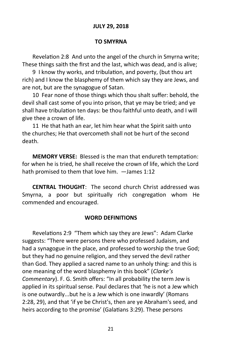#### **JULY 29, 2018**

#### **TO SMYRNA**

Revelation 2:8 And unto the angel of the church in Smyrna write; These things saith the first and the last, which was dead, and is alive;

9 I know thy works, and tribulation, and poverty, (but thou art rich) and I know the blasphemy of them which say they are Jews, and are not, but are the synagogue of Satan.

10 Fear none of those things which thou shalt suffer: behold, the devil shall cast some of you into prison, that ye may be tried; and ye shall have tribulation ten days: be thou faithful unto death, and I will give thee a crown of life.

11 He that hath an ear, let him hear what the Spirit saith unto the churches; He that overcometh shall not be hurt of the second death.

**MEMORY VERSE:** Blessed is the man that endureth temptation: for when he is tried, he shall receive the crown of life, which the Lord hath promised to them that love him. —James 1:12

**CENTRAL THOUGHT**: The second church Christ addressed was Smyrna, a poor but spiritually rich congregation whom He commended and encouraged.

#### **WORD DEFINITIONS**

Revelations 2:9 "Them which say they are Jews": Adam Clarke suggests: "There were persons there who professed Judaism, and had a synagogue in the place, and professed to worship the true God; but they had no genuine religion, and they served the devil rather than God. They applied a sacred name to an unholy thing: and this is one meaning of the word blasphemy in this book" (*Clarke's Commentary*). F. G. Smith offers: "In all probability the term Jew is applied in its spiritual sense. Paul declares that 'he is not a Jew which is one outwardly...but he is a Jew which is one inwardly' (Romans 2:28, 29), and that 'if ye be Christ's, then are ye Abraham's seed, and heirs according to the promise' (Galatians 3:29). These persons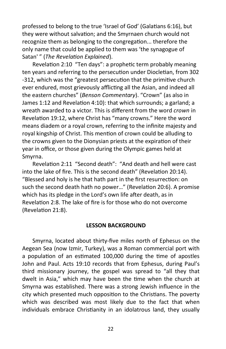professed to belong to the true 'Israel of God' (Galatians 6:16), but they were without salvation; and the Smyrnaen church would not recognize them as belonging to the congregation... therefore the only name that could be applied to them was 'the synagogue of Satan' " (*The Revelation Explained*).

Revelation 2:10 "Ten days": a prophetic term probably meaning ten years and referring to the persecution under Diocletian, from 302 -312, which was the "greatest persecution that the primitive church ever endured, most grievously afflicting all the Asian, and indeed all the eastern churches" (*Benson Commentary*). "Crown" (as also in James 1:12 and Revelation 4:10): that which surrounds; a garland; a wreath awarded to a victor. This is different from the word *crown* in Revelation 19:12, where Christ has "many crowns." Here the word means diadem or a royal crown, referring to the infinite majesty and royal kingship of Christ. This mention of crown could be alluding to the crowns given to the Dionysian priests at the expiration of their year in office, or those given during the Olympic games held at Smyrna.

Revelation 2:11 "Second death": "And death and hell were cast into the lake of fire. This is the second death" (Revelation 20:14). "Blessed and holy is he that hath part in the first resurrection: on such the second death hath no power…" (Revelation 20:6). A promise which has its pledge in the Lord's own life after death, as in Revelation 2:8. The lake of fire is for those who do not overcome (Revelation 21:8).

#### **LESSON BACKGROUND**

Smyrna, located about thirty-five miles north of Ephesus on the Aegean Sea (now Izmir, Turkey), was a Roman commercial port with a population of an estimated 100,000 during the time of apostles John and Paul. Acts 19:10 records that from Ephesus, during Paul's third missionary journey, the gospel was spread to "all they that dwelt in Asia," which may have been the time when the church at Smyrna was established. There was a strong Jewish influence in the city which presented much opposition to the Christians. The poverty which was described was most likely due to the fact that when individuals embrace Christianity in an idolatrous land, they usually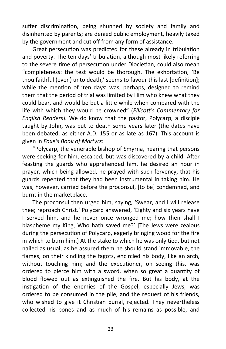suffer discrimination, being shunned by society and family and disinherited by parents; are denied public employment, heavily taxed by the government and cut off from any form of assistance.

Great persecution was predicted for these already in tribulation and poverty. The ten days' tribulation, although most likely referring to the severe time of persecution under Diocletian, could also mean "completeness: the test would be thorough. The exhortation, 'Be thou faithful (even) unto death,' seems to favour this last [definition]; while the mention of 'ten days' was, perhaps, designed to remind them that the period of trial was limited by Him who knew what they could bear, and would be but a little while when compared with the life with which they would be crowned" (*Ellicott's Commentary for English Readers*). We do know that the pastor, Polycarp, a disciple taught by John, was put to death some years later (the dates have been debated, as either A.D. 155 or as late as 167). This account is given in *Foxe's Book of Martyrs*:

"Polycarp, the venerable bishop of Smyrna, hearing that persons were seeking for him, escaped, but was discovered by a child. After feasting the guards who apprehended him, he desired an hour in prayer, which being allowed, he prayed with such fervency, that his guards repented that they had been instrumental in taking him. He was, however, carried before the proconsul, [to be] condemned, and burnt in the marketplace.

The proconsul then urged him, saying, 'Swear, and I will release thee; reproach Christ.' Polycarp answered, 'Eighty and six years have I served him, and he never once wronged me; how then shall I blaspheme my King, Who hath saved me?' [The Jews were zealous during the persecution of Polycarp, eagerly bringing wood for the fire in which to burn him.] At the stake to which he was only tied, but not nailed as usual, as he assured them he should stand immovable, the flames, on their kindling the fagots, encircled his body, like an arch, without touching him; and the executioner, on seeing this, was ordered to pierce him with a sword, when so great a quantity of blood flowed out as extinguished the fire. But his body, at the instigation of the enemies of the Gospel, especially Jews, was ordered to be consumed in the pile, and the request of his friends, who wished to give it Christian burial, rejected. They nevertheless collected his bones and as much of his remains as possible, and

23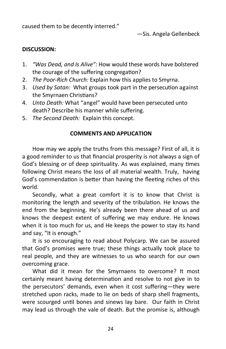caused them to be decently interred."

—Sis. Angela Gellenbeck

#### **DISCUSSION:**

- 1. *"Was Dead, and Is Alive":* How would these words have bolstered the courage of the suffering congregation?
- 2. *The Poor-Rich Church:* Explain how this applies to Smyrna.
- 3. *Used by Satan:* What groups took part in the persecution against the Smyrnaen Christians?
- 4. *Unto Death:* What "angel" would have been persecuted unto death? Describe his manner while suffering.
- 5. *The Second Death:* Explain this concept.

#### **COMMENTS AND APPLICATION**

How may we apply the truths from this message? First of all, it is a good reminder to us that financial prosperity is not always a sign of God's blessing or of deep spirituality. As was explained, many times following Christ means the loss of all material wealth. Truly, having God's commendation is better than having the fleeting riches of this world.

Secondly, what a great comfort it is to know that Christ is monitoring the length and severity of the tribulation. He knows the end from the beginning. He's already been there ahead of us and knows the deepest extent of suffering we may endure. He knows when it is too much for us, and He keeps the power to stay its hand and say, "It is enough."

It is so encouraging to read about Polycarp. We can be assured that God's promises were true; these things actually took place to real people, and they are witnesses to us who search for our own overcoming grace.

What did it mean for the Smyrnaens to overcome? It most certainly meant having determination and resolve to not give in to the persecutors' demands, even when it cost suffering—they were stretched upon racks, made to lie on beds of sharp shell fragments, were scourged until bones and sinews lay bare. Our faith in Christ may lead us through the vale of death. But the promise is, although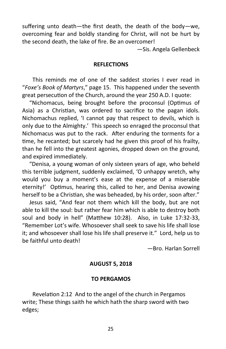suffering unto death—the first death, the death of the body—we, overcoming fear and boldly standing for Christ, will not be hurt by the second death, the lake of fire. Be an overcomer!

—Sis. Angela Gellenbeck

#### **REFLECTIONS**

This reminds me of one of the saddest stories I ever read in "*Foxe's Book of Martyrs*," page 15. This happened under the seventh great persecution of the Church, around the year 250 A.D. I quote:

 "Nichomacus, being brought before the proconsul (Optimus of Asia) as a Christian, was ordered to sacrifice to the pagan idols. Nichomachus replied, 'I cannot pay that respect to devils, which is only due to the Almighty.' This speech so enraged the proconsul that Nichomacus was put to the rack. After enduring the torments for a time, he recanted; but scarcely had he given this proof of his frailty, than he fell into the greatest agonies, dropped down on the ground, and expired immediately.

 "Denisa, a young woman of only sixteen years of age, who beheld this terrible judgment, suddenly exclaimed, 'O unhappy wretch, why would you buy a moment's ease at the expense of a miserable eternity!' Optimus, hearing this, called to her, and Denisa avowing herself to be a Christian, she was beheaded, by his order, soon after."

 Jesus said, "And fear not them which kill the body, but are not able to kill the soul: but rather fear him which is able to destroy both soul and body in hell" (Matthew 10:28). Also, in Luke 17:32-33, "Remember Lot's wife. Whosoever shall seek to save his life shall lose it; and whosoever shall lose his life shall preserve it." Lord, help us to be faithful unto death!

—Bro. Harlan Sorrell

#### **AUGUST 5, 2018**

#### **TO PERGAMOS**

Revelation 2:12 And to the angel of the church in Pergamos write; These things saith he which hath the sharp sword with two edges;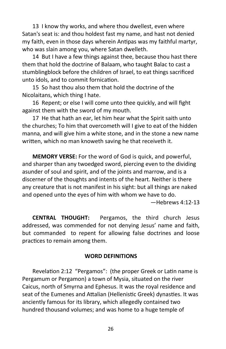13 I know thy works, and where thou dwellest, even where Satan's seat is: and thou holdest fast my name, and hast not denied my faith, even in those days wherein Antipas was my faithful martyr, who was slain among you, where Satan dwelleth.

14 But I have a few things against thee, because thou hast there them that hold the doctrine of Balaam, who taught Balac to cast a stumblingblock before the children of Israel, to eat things sacrificed unto idols, and to commit fornication.

15 So hast thou also them that hold the doctrine of the Nicolaitans, which thing I hate.

16 Repent; or else I will come unto thee quickly, and will fight against them with the sword of my mouth.

17 He that hath an ear, let him hear what the Spirit saith unto the churches; To him that overcometh will I give to eat of the hidden manna, and will give him a white stone, and in the stone a new name written, which no man knoweth saving he that receiveth it.

**MEMORY VERSE:** For the word of God is quick, and powerful, and sharper than any twoedged sword, piercing even to the dividing asunder of soul and spirit, and of the joints and marrow, and is a discerner of the thoughts and intents of the heart. Neither is there any creature that is not manifest in his sight: but all things are naked and opened unto the eyes of him with whom we have to do.

—Hebrews 4:12-13

**CENTRAL THOUGHT:** Pergamos, the third church Jesus addressed, was commended for not denying Jesus' name and faith, but commanded to repent for allowing false doctrines and loose practices to remain among them.

#### **WORD DEFINITIONS**

Revelation 2:12 "Pergamos": (the proper Greek or Latin name is Pergamum or Pergamon) a town of Mysia, situated on the river Caicus, north of Smyrna and Ephesus. It was the royal residence and seat of the Eumenes and Attalian (Hellenistic Greek) dynasties. It was anciently famous for its library, which allegedly contained two hundred thousand volumes; and was home to a huge temple of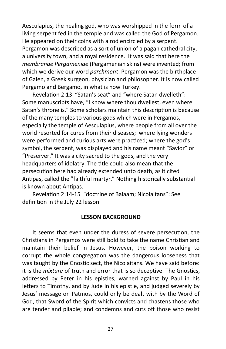Aesculapius, the healing god, who was worshipped in the form of a living serpent fed in the temple and was called the God of Pergamon. He appeared on their coins with a rod encircled by a serpent. Pergamon was described as a sort of union of a pagan cathedral city, a university town, and a royal residence. It was said that here the *membranae Pergameniae* (Pergamenian skins) were invented; from which we derive our word *parchment*. Pergamon was the birthplace of Galen, a Greek surgeon, physician and philosopher. It is now called Pergamo and Bergamo, in what is now Turkey.

Revelation 2:13 "Satan's seat" and "where Satan dwelleth": Some manuscripts have, "I know where thou dwellest, even where Satan's throne is." Some scholars maintain this description is because of the many temples to various gods which were in Pergamos, especially the temple of Aesculapius, where people from all over the world resorted for cures from their diseases; where lying wonders were performed and curious arts were practiced; where the god's symbol, the serpent, was displayed and his name meant "Savior" or "Preserver." It was a city sacred to the gods, and the very headquarters of idolatry. The title could also mean that the persecution here had already extended unto death, as it cited Antipas, called the "faithful martyr." Nothing historically substantial is known about Antipas.

Revelation 2:14-15 "doctrine of Balaam; Nicolaitans": See definition in the July 22 lesson.

#### **LESSON BACKGROUND**

It seems that even under the duress of severe persecution, the Christians in Pergamos were still bold to take the name Christian and maintain their belief in Jesus. However, the poison working to corrupt the whole congregation was the dangerous looseness that was taught by the Gnostic sect, the Nicolaitans. We have said before: it is the *mixture* of truth and error that is so deceptive. The Gnostics, addressed by Peter in his epistles, warned against by Paul in his letters to Timothy, and by Jude in his epistle, and judged severely by Jesus' message on Patmos, could only be dealt with by the Word of God, that Sword of the Spirit which convicts and chastens those who are tender and pliable; and condemns and cuts off those who resist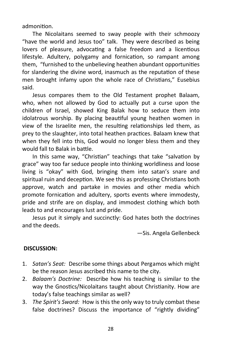admonition.

The Nicolaitans seemed to sway people with their schmoozy "have the world and Jesus too" talk. They were described as being lovers of pleasure, advocating a false freedom and a licentious lifestyle. Adultery, polygamy and fornication, so rampant among them, "furnished to the unbelieving heathen abundant opportunities for slandering the divine word, inasmuch as the reputation of these men brought infamy upon the whole race of Christians," Eusebius said.

Jesus compares them to the Old Testament prophet Balaam, who, when not allowed by God to actually put a curse upon the children of Israel, showed King Balak how to seduce them into idolatrous worship. By placing beautiful young heathen women in view of the Israelite men, the resulting relationships led them, as prey to the slaughter, into total heathen practices. Balaam knew that when they fell into this, God would no longer bless them and they would fall to Balak in battle.

In this same way, "Christian" teachings that take "salvation by grace" way too far seduce people into thinking worldliness and loose living is "okay" with God, bringing them into satan's snare and spiritual ruin and deception. We see this as professing Christians both approve, watch and partake in movies and other media which promote fornication and adultery, sports events where immodesty, pride and strife are on display, and immodest clothing which both leads to and encourages lust and pride.

Jesus put it simply and succinctly: God hates both the doctrines and the deeds.

—Sis. Angela Gellenbeck

#### **DISCUSSION:**

- 1. *Satan's Seat:* Describe some things about Pergamos which might be the reason Jesus ascribed this name to the city.
- 2. *Balaam's Doctrine:* Describe how his teaching is similar to the way the Gnostics/Nicolaitans taught about Christianity. How are today's false teachings similar as well?
- 3. *The Spirit's Sword:* How is this the only way to truly combat these false doctrines? Discuss the importance of "rightly dividing"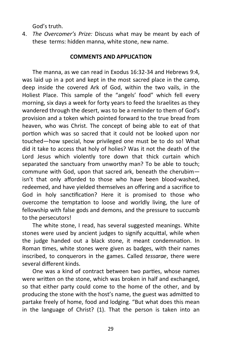God's truth.

4. *The Overcomer's Prize:* Discuss what may be meant by each of these terms: hidden manna, white stone, new name.

#### **COMMENTS AND APPLICATION**

The manna, as we can read in Exodus 16:32-34 and Hebrews 9:4, was laid up in a pot and kept in the most sacred place in the camp, deep inside the covered Ark of God, within the two vails, in the Holiest Place. This sample of the "angels' food" which fell every morning, six days a week for forty years to feed the Israelites as they wandered through the desert, was to be a reminder to them of God's provision and a token which pointed forward to the true bread from heaven, who was Christ. The concept of being able to eat of that portion which was so sacred that it could not be looked upon nor touched—how special, how privileged one must be to do so! What did it take to access that holy of holies? Was it not the death of the Lord Jesus which violently tore down that thick curtain which separated the sanctuary from unworthy man? To be able to touch; commune with God, upon that sacred ark, beneath the cherubim isn't that only afforded to those who have been blood-washed, redeemed, and have yielded themselves an offering and a sacrifice to God in holy sanctification? Here it is promised to those who overcome the temptation to loose and worldly living, the lure of fellowship with false gods and demons, and the pressure to succumb to the persecutors!

The white stone, I read, has several suggested meanings. White stones were used by ancient judges to signify acquittal, while when the judge handed out a black stone, it meant condemnation. In Roman times, white stones were given as badges, with their names inscribed, to conquerors in the games. Called *tessarae*, there were several different kinds.

One was a kind of contract between two parties, whose names were written on the stone, which was broken in half and exchanged, so that either party could come to the home of the other, and by producing the stone with the host's name, the guest was admitted to partake freely of home, food and lodging. "But what does this mean in the language of Christ? (1). That the person is taken into an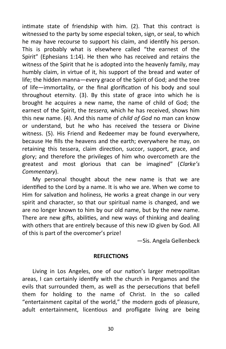intimate state of friendship with him. (2). That this contract is witnessed to the party by some especial token, sign, or seal, to which he may have recourse to support his claim, and identify his person. This is probably what is elsewhere called "the earnest of the Spirit" (Ephesians 1:14). He then who has received and retains the witness of the Spirit that he is adopted into the heavenly family, may humbly claim, in virtue of it, his support of the bread and water of life; the hidden manna—every grace of the Spirit of God; and the tree of life—immortality, or the final glorification of his body and soul throughout eternity. (3). By this state of grace into which he is brought he acquires a new name, the name of child of God; the earnest of the Spirit, the *tessera*, which he has received, shows him this new name. (4). And this name of *child of God* no man can know or understand, but he who has received the tessera or Divine witness. (5). His Friend and Redeemer may be found everywhere, because He fills the heavens and the earth; everywhere he may, on retaining this tessera, claim direction, succor, support, grace, and glory; and therefore the privileges of him who overcometh are the greatest and most glorious that can be imagined" (*Clarke's Commentary*).

My personal thought about the new name is that we are identified to the Lord by a name. It is who we are. When we come to Him for salvation and holiness, He works a great change in our very spirit and character, so that our spiritual name is changed, and we are no longer known to him by our old name, but by the new name. There are new gifts, abilities, and new ways of thinking and dealing with others that are entirely because of this new ID given by God. All of this is part of the overcomer's prize!

—Sis. Angela Gellenbeck

#### **REFLECTIONS**

Living in Los Angeles, one of our nation's larger metropolitan areas, I can certainly identify with the church in Pergamos and the evils that surrounded them, as well as the persecutions that befell them for holding to the name of Christ. In the so called "entertainment capital of the world," the modern gods of pleasure, adult entertainment, licentious and profligate living are being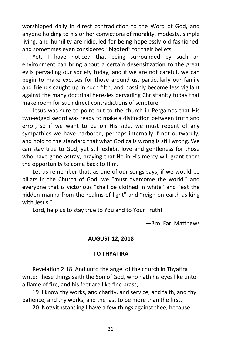worshipped daily in direct contradiction to the Word of God, and anyone holding to his or her convictions of morality, modesty, simple living, and humility are ridiculed for being hopelessly old-fashioned, and sometimes even considered "bigoted" for their beliefs.

Yet, I have noticed that being surrounded by such an environment can bring about a certain desensitization to the great evils pervading our society today, and if we are not careful, we can begin to make excuses for those around us, particularly our family and friends caught up in such filth, and possibly become less vigilant against the many doctrinal heresies pervading Christianity today that make room for such direct contradictions of scripture.

Jesus was sure to point out to the church in Pergamos that His two-edged sword was ready to make a distinction between truth and error, so if we want to be on His side, we must repent of any sympathies we have harbored, perhaps internally if not outwardly, and hold to the standard that what God calls wrong is still wrong. We can stay true to God, yet still exhibit love and gentleness for those who have gone astray, praying that He in His mercy will grant them the opportunity to come back to Him.

Let us remember that, as one of our songs says, if we would be pillars in the Church of God, we "must overcome the world," and everyone that is victorious "shall be clothed in white" and "eat the hidden manna from the realms of light" and "reign on earth as king with Jesus."

Lord, help us to stay true to You and to Your Truth!

—Bro. Fari Matthews

#### **AUGUST 12, 2018**

#### **TO THYATIRA**

Revelation 2:18 And unto the angel of the church in Thyatira write; These things saith the Son of God, who hath his eyes like unto a flame of fire, and his feet are like fine brass;

19 I know thy works, and charity, and service, and faith, and thy patience, and thy works; and the last to be more than the first.

20 Notwithstanding I have a few things against thee, because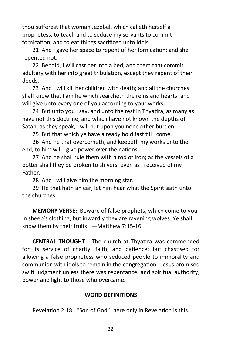thou sufferest that woman Jezebel, which calleth herself a prophetess, to teach and to seduce my servants to commit fornication, and to eat things sacrificed unto idols.

21 And I gave her space to repent of her fornication; and she repented not.

22 Behold, I will cast her into a bed, and them that commit adultery with her into great tribulation, except they repent of their deeds.

23 And I will kill her children with death; and all the churches shall know that I am he which searcheth the reins and hearts: and I will give unto every one of you according to your works.

24 But unto you I say, and unto the rest in Thyatira, as many as have not this doctrine, and which have not known the depths of Satan, as they speak; I will put upon you none other burden.

25 But that which ye have already hold fast till I come.

26 And he that overcometh, and keepeth my works unto the end, to him will I give power over the nations:

27 And he shall rule them with a rod of iron; as the vessels of a potter shall they be broken to shivers: even as I received of my Father.

28 And I will give him the morning star.

29 He that hath an ear, let him hear what the Spirit saith unto the churches.

**MEMORY VERSE:** Beware of false prophets, which come to you in sheep's clothing, but inwardly they are ravening wolves. Ye shall know them by their fruits. —Matthew 7:15-16

**CENTRAL THOUGHT:** The church at Thyatira was commended for its service of charity, faith, and patience; but chastised for allowing a false prophetess who seduced people to immorality and communion with idols to remain in the congregation. Jesus promised swift judgment unless there was repentance, and spiritual authority, power and light to those who overcame.

#### **WORD DEFINITIONS**

Revelation 2:18: "Son of God": here only in Revelation is this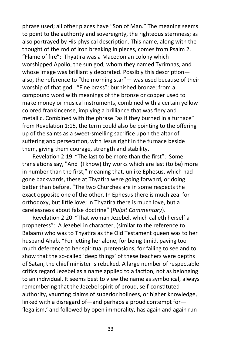phrase used; all other places have "Son of Man." The meaning seems to point to the authority and sovereignty, the righteous sternness; as also portrayed by His physical description. This name, along with the thought of the rod of iron breaking in pieces, comes from Psalm 2. "Flame of fire": Thyatira was a Macedonian colony which worshipped Apollo, the sun god, whom they named Tyrimnas, and whose image was brilliantly decorated. Possibly this descriptionalso, the reference to "the morning star"— was used because of their worship of that god. "Fine brass": burnished bronze; from a compound word with meanings of the bronze or copper used to make money or musical instruments, combined with a certain yellow colored frankincense, implying a brilliance that was fiery and metallic. Combined with the phrase "as if they burned in a furnace" from Revelation 1:15, the term could also be pointing to the offering up of the saints as a sweet-smelling sacrifice upon the altar of suffering and persecution, with Jesus right in the furnace beside them, giving them courage, strength and stability.

Revelation 2:19 "The last to be more than the first": Some translations say, "And (I know) thy works which are last (to be) more in number than the first," meaning that, unlike Ephesus, which had gone backwards, these at Thyatira were going forward, or doing better than before. "The two Churches are in some respects the exact opposite one of the other. In Ephesus there is much zeal for orthodoxy, but little love; in Thyatira there is much love, but a carelessness about false doctrine" (*Pulpit Commentary*).

Revelation 2:20 "That woman Jezebel, which calleth herself a prophetess": A Jezebel in character, (similar to the reference to Balaam) who was to Thyatira as the Old Testament queen was to her husband Ahab. "For letting her alone, for being timid, paying too much deference to her spiritual pretensions, for failing to see and to show that the so-called 'deep things' of these teachers were depths of Satan, the chief minister is rebuked. A large number of respectable critics regard Jezebel as a name applied to a faction, not as belonging to an individual. It seems best to view the name as symbolical, always remembering that the Jezebel spirit of proud, self-constituted authority, vaunting claims of superior holiness, or higher knowledge, linked with a disregard of—and perhaps a proud contempt for— 'legalism,' and followed by open immorality, has again and again run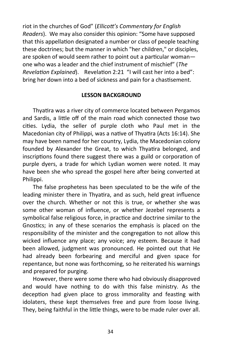riot in the churches of God" (*Ellicott's Commentary for English Readers*). We may also consider this opinion: "Some have supposed that this appellation designated a number or class of people teaching these doctrines; but the manner in which "her children," or disciples, are spoken of would seem rather to point out a particular woman one who was a leader and the chief instrument of mischief" (*The Revelation Explained*). Revelation 2:21 "I will cast her into a bed": bring her down into a bed of sickness and pain for a chastisement.

#### **LESSON BACKGROUND**

Thyatira was a river city of commerce located between Pergamos and Sardis, a little off of the main road which connected those two cities. Lydia, the seller of purple cloth who Paul met in the Macedonian city of Philippi, was a native of Thyatira (Acts 16:14). She may have been named for her country, Lydia, the Macedonian colony founded by Alexander the Great, to which Thyatira belonged, and inscriptions found there suggest there was a guild or corporation of purple dyers, a trade for which Lydian women were noted. It may have been she who spread the gospel here after being converted at Philippi.

The false prophetess has been speculated to be the wife of the leading minister there in Thyatira, and as such, held great influence over the church. Whether or not this is true, or whether she was some other woman of influence, or whether Jezebel represents a symbolical false religious force, in practice and doctrine similar to the Gnostics; in any of these scenarios the emphasis is placed on the responsibility of the minister and the congregation to not allow this wicked influence any place; any voice; any esteem. Because it had been allowed, judgment was pronounced. He pointed out that He had already been forbearing and merciful and given space for repentance, but none was forthcoming, so he reiterated his warnings and prepared for purging.

However, there were some there who had obviously disapproved and would have nothing to do with this false ministry. As the deception had given place to gross immorality and feasting with idolaters, these kept themselves free and pure from loose living. They, being faithful in the little things, were to be made ruler over all.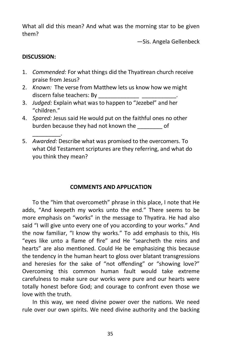What all did this mean? And what was the morning star to be given them?

—Sis. Angela Gellenbeck

# **DISCUSSION:**

\_\_\_\_\_\_\_\_\_.

- 1. *Commended:* For what things did the Thyatirean church receive praise from Jesus?
- 2. *Known:* The verse from Matthew lets us know how we might discern false teachers: By
- 3. *Judged:* Explain what was to happen to "Jezebel" and her "children."
- 4. *Spared:* Jesus said He would put on the faithful ones no other burden because they had not known the \_\_\_\_\_\_\_\_ of
- 5. *Awarded:* Describe what was promised to the overcomers. To what Old Testament scriptures are they referring, and what do you think they mean?

# **COMMENTS AND APPLICATION**

To the "him that overcometh" phrase in this place, I note that He adds, "And keepeth my works unto the end." There seems to be more emphasis on "works" in the message to Thyatira. He had also said "I will give unto every one of you according to your works." And the now familiar, "I know thy works." To add emphasis to this, His "eyes like unto a flame of fire" and He "searcheth the reins and hearts" are also mentioned. Could He be emphasizing this because the tendency in the human heart to gloss over blatant transgressions and heresies for the sake of "not offending" or "showing love?" Overcoming this common human fault would take extreme carefulness to make sure our works were pure and our hearts were totally honest before God; and courage to confront even those we love with the truth.

In this way, we need divine power over the nations. We need rule over our own spirits. We need divine authority and the backing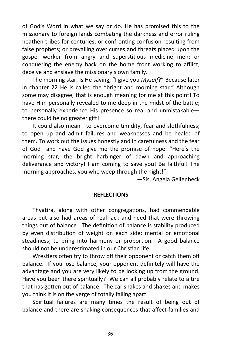of God's Word in what we say or do. He has promised this to the missionary to foreign lands combating the darkness and error ruling heathen tribes for centuries; or confronting confusion resulting from false prophets; or prevailing over curses and threats placed upon the gospel worker from angry and superstitious medicine men; or conquering the enemy back on the home front working to afflict, deceive and enslave the missionary's own family.

The morning star. Is He saying, "I give you *Myself*?" Because later in chapter 22 He is called the "bright and morning star." Although some may disagree, that is enough meaning for me at this point! To have Him personally revealed to me deep in the midst of the battle; to personally experience His presence so real and unmistakable there could be no greater gift!

It could also mean—to overcome timidity, fear and slothfulness; to open up and admit failures and weaknesses and be healed of them. To work out the issues honestly and in carefulness and the fear of God—and have God give me the promise of hope: "Here's the morning star, the bright harbinger of dawn and approaching deliverance and victory! I am coming to save you! Be faithful! The morning approaches, you who weep through the night!"

—Sis. Angela Gellenbeck

#### **REFLECTIONS**

Thyatira, along with other congregations, had commendable areas but also had areas of real lack and need that were throwing things out of balance. The definition of balance is stability produced by even distribution of weight on each side; mental or emotional steadiness; to bring into harmony or proportion. A good balance should not be underestimated in our Christian life.

Wrestlers often try to throw off their opponent or catch them off balance. If you lose balance, your opponent definitely will have the advantage and you are very likely to be looking up from the ground. Have you been there spiritually? We can all probably relate to a tire that has gotten out of balance. The car shakes and shakes and makes you think it is on the verge of totally falling apart.

Spiritual failures are many times the result of being out of balance and there are shaking consequences that affect families and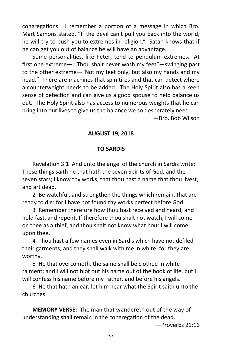congregations. I remember a portion of a message in which Bro. Mart Samons stated, "If the devil can't pull you back into the world, he will try to push you to extremes in religion." Satan knows that if he can get you out of balance he will have an advantage.

Some personalities, like Peter, tend to pendulum extremes. At first one extreme— "Thou shalt never wash my feet"—swinging past to the other extreme—"Not my feet only, but also my hands and my head." There are machines that spin tires and that can detect where a counterweight needs to be added. The Holy Spirit also has a keen sense of detection and can give us a good spouse to help balance us out. The Holy Spirit also has access to numerous weights that he can bring into our lives to give us the balance we so desperately need.

—Bro. Bob Wilson

## **AUGUST 19, 2018**

#### **TO SARDIS**

Revelation 3:1 And unto the angel of the church in Sardis write; These things saith he that hath the seven Spirits of God, and the seven stars; I know thy works, that thou hast a name that thou livest, and art dead.

2 Be watchful, and strengthen the things which remain, that are ready to die: for I have not found thy works perfect before God.

3 Remember therefore how thou hast received and heard, and hold fast, and repent. If therefore thou shalt not watch, I will come on thee as a thief, and thou shalt not know what hour I will come upon thee.

4 Thou hast a few names even in Sardis which have not defiled their garments; and they shall walk with me in white: for they are worthy.

5 He that overcometh, the same shall be clothed in white raiment; and I will not blot out his name out of the book of life, but I will confess his name before my Father, and before his angels.

6 He that hath an ear, let him hear what the Spirit saith unto the churches.

**MEMORY VERSE:** The man that wandereth out of the way of understanding shall remain in the congregation of the dead.

—Proverbs 21:16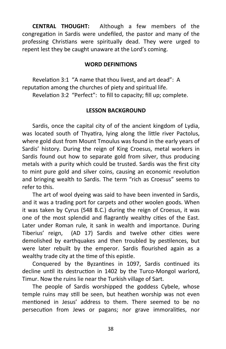**CENTRAL THOUGHT:** Although a few members of the congregation in Sardis were undefiled, the pastor and many of the professing Christians were spiritually dead. They were urged to repent lest they be caught unaware at the Lord's coming.

## **WORD DEFINITIONS**

Revelation 3:1 "A name that thou livest, and art dead": A reputation among the churches of piety and spiritual life. Revelation 3:2 "Perfect": to fill to capacity; fill up; complete.

## **LESSON BACKGROUND**

Sardis, once the capital city of of the ancient kingdom of Lydia, was located south of Thyatira, lying along the little river Pactolus, where gold dust from Mount Tmoulus was found in the early years of Sardis' history. During the reign of King Croesus, metal workers in Sardis found out how to separate gold from silver, thus producing metals with a purity which could be trusted. Sardis was the first city to mint pure gold and silver coins, causing an economic revolution and bringing wealth to Sardis. The term "rich as Croesus" seems to refer to this.

The art of wool dyeing was said to have been invented in Sardis, and it was a trading port for carpets and other woolen goods. When it was taken by Cyrus (548 B.C.) during the reign of Croesus, it was one of the most splendid and flagrantly wealthy cities of the East. Later under Roman rule, it sank in wealth and importance. During Tiberius' reign, (AD 17) Sardis and twelve other cities were demolished by earthquakes and then troubled by pestilences, but were later rebuilt by the emperor. Sardis flourished again as a wealthy trade city at the time of this epistle.

Conquered by the Byzantines in 1097, Sardis continued its decline until its destruction in 1402 by the Turco-Mongol warlord, Timur. Now the ruins lie near the Turkish village of Sart.

The people of Sardis worshipped the goddess Cybele, whose temple ruins may still be seen, but heathen worship was not even mentioned in Jesus' address to them. There seemed to be no persecution from Jews or pagans; nor grave immoralities, nor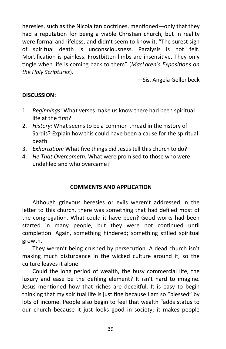heresies, such as the Nicolaitan doctrines, mentioned—only that they had a reputation for being a viable Christian church, but in reality were formal and lifeless, and didn't seem to know it. "The surest sign of spiritual death is unconsciousness. Paralysis is not felt. Mortification is painless. Frostbitten limbs are insensitive. They only tingle when life is coming back to them" (*MacLaren's Expositions on the Holy Scriptures*).

—Sis. Angela Gellenbeck

## **DISCUSSION:**

- 1. *Beginnings:* What verses make us know there had been spiritual life at the first?
- 2. *History:* What seems to be a common thread in the history of Sardis? Explain how this could have been a cause for the spiritual death.
- 3. *Exhortation:* What five things did Jesus tell this church to do?
- 4. *He That Overcometh:* What were promised to those who were undefiled and who overcame?

## **COMMENTS AND APPLICATION**

Although grievous heresies or evils weren't addressed in the letter to this church, there was something that had defiled most of the congregation. What could it have been? Good works had been started in many people, but they were not continued until completion. Again, something hindered; something stifled spiritual growth.

They weren't being crushed by persecution. A dead church isn't making much disturbance in the wicked culture around it, so the culture leaves it alone.

Could the long period of wealth, the busy commercial life, the luxury and ease be the defiling element? It isn't hard to imagine. Jesus mentioned how that riches are deceitful. It is easy to begin thinking that my spiritual life is just fine because I am so "blessed" by lots of income. People also begin to feel that wealth "adds status to our church because it just looks good in society; it makes people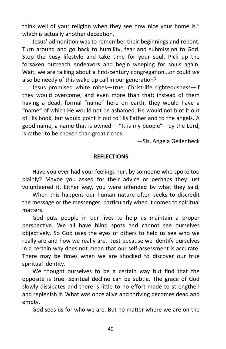think well of your religion when they see how nice your home is," which is actually another deception.

Jesus' admonition was to remember their beginnings and repent. Turn around and go back to humility, fear and submission to God. Stop the busy lifestyle and take time for your soul. Pick up the forsaken outreach endeavors and begin weeping for souls again. Wait, we are talking about a first-century congregation...or could *we* also be needy of this wake-up call in our generation?

Jesus promised white robes—true, Christ-life righteousness—if they would overcome, and even more than that; instead of them having a dead, formal "name" here on earth, they would have a "name" of which He would not be ashamed. He would not blot it out of His book, but would point it out to His Father and to the angels. A good name, a name that is owned— "It is my people"—by the Lord, is rather to be chosen than great riches.

—Sis. Angela Gellenbeck

#### **REFLECTIONS**

Have you ever had your feelings hurt by someone who spoke too plainly? Maybe you asked for their advice or perhaps they just volunteered it. Either way, you were offended by what they said.

When this happens our human nature often seeks to discredit the message or the messenger, particularly when it comes to spiritual matters.

God puts people in our lives to help us maintain a proper perspective. We all have blind spots and cannot see ourselves objectively. So God uses the eyes of others to help us see who we really are and how we really are. Just because we identify ourselves in a certain way does not mean that our self-assessment is accurate. There may be times when we are shocked to discover our true spiritual identity.

We thought ourselves to be a certain way but find that the opposite is true. Spiritual decline can be subtle. The grace of God slowly dissipates and there is little to no effort made to strengthen and replenish it. What was once alive and thriving becomes dead and empty.

God sees us for who we are. But no matter where we are on the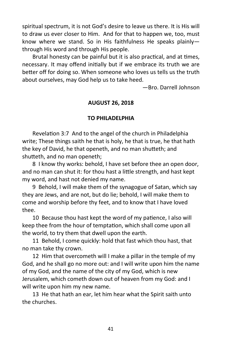spiritual spectrum, it is not God's desire to leave us there. It is His will to draw us ever closer to Him. And for that to happen we, too, must know where we stand. So in His faithfulness He speaks plainly through His word and through His people.

Brutal honesty can be painful but it is also practical, and at times, necessary. It may offend initially but if we embrace its truth we are better off for doing so. When someone who loves us tells us the truth about ourselves, may God help us to take heed.

—Bro. Darrell Johnson

# **AUGUST 26, 2018**

# **TO PHILADELPHIA**

Revelation 3:7 And to the angel of the church in Philadelphia write; These things saith he that is holy, he that is true, he that hath the key of David, he that openeth, and no man shutteth; and shutteth, and no man openeth;

8 I know thy works: behold, I have set before thee an open door, and no man can shut it: for thou hast a little strength, and hast kept my word, and hast not denied my name.

9 Behold, I will make them of the synagogue of Satan, which say they are Jews, and are not, but do lie; behold, I will make them to come and worship before thy feet, and to know that I have loved thee.

10 Because thou hast kept the word of my patience, I also will keep thee from the hour of temptation, which shall come upon all the world, to try them that dwell upon the earth.

11 Behold, I come quickly: hold that fast which thou hast, that no man take thy crown.

12 Him that overcometh will I make a pillar in the temple of my God, and he shall go no more out: and I will write upon him the name of my God, and the name of the city of my God, which is new Jerusalem, which cometh down out of heaven from my God: and I will write upon him my new name.

13 He that hath an ear, let him hear what the Spirit saith unto the churches.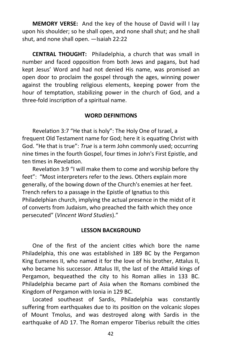**MEMORY VERSE:** And the key of the house of David will I lay upon his shoulder; so he shall open, and none shall shut; and he shall shut, and none shall open. —Isaiah 22:22

**CENTRAL THOUGHT:** Philadelphia, a church that was small in number and faced opposition from both Jews and pagans, but had kept Jesus' Word and had not denied His name, was promised an open door to proclaim the gospel through the ages, winning power against the troubling religious elements, keeping power from the hour of temptation, stabilizing power in the church of God, and a three-fold inscription of a spiritual name.

#### **WORD DEFINITIONS**

Revelation 3:7 "He that is holy": The Holy One of Israel, a frequent Old Testament name for God; here it is equating Christ with God. "He that is true": *True* is a term John commonly used; occurring nine times in the fourth Gospel, four times in John's First Epistle, and ten times in Revelation.

Revelation 3:9 "I will make them to come and worship before thy feet": "Most interpreters refer to the Jews. Others explain more generally, of the bowing down of the Church's enemies at her feet. Trench refers to a passage in the Epistle of Ignatius to this Philadelphian church, implying the actual presence in the midst of it of converts from Judaism, who preached the faith which they once persecuted" (*Vincent Word Studies*)."

#### **LESSON BACKGROUND**

One of the first of the ancient cities which bore the name Philadelphia, this one was established in 189 BC by the Pergamon King Eumenes II, who named it for the love of his brother, Attalus II, who became his successor. Attalus III, the last of the Attalid kings of Pergamon, bequeathed the city to his Roman allies in 133 BC. Philadelphia became part of Asia when the Romans combined the Kingdom of Pergamon with Ionia in 129 BC.

Located southeast of Sardis, Philadelphia was constantly suffering from earthquakes due to its position on the volcanic slopes of Mount Tmolus, and was destroyed along with Sardis in the earthquake of AD 17. The Roman emperor Tiberius rebuilt the cities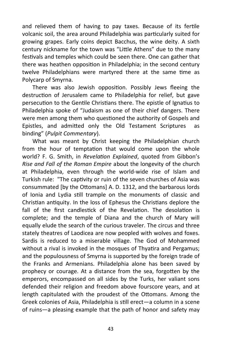and relieved them of having to pay taxes. Because of its fertile volcanic soil, the area around Philadelphia was particularly suited for growing grapes. Early coins depict Bacchus, the wine deity. A sixth century nickname for the town was "Little Athens" due to the many festivals and temples which could be seen there. One can gather that there was heathen opposition in Philadelphia; in the second century twelve Philadelphians were martyred there at the same time as Polycarp of Smyrna.

There was also Jewish opposition. Possibly Jews fleeing the destruction of Jerusalem came to Philadelphia for relief, but gave persecution to the Gentile Christians there. The epistle of Ignatius to Philadelphia spoke of "Judaism as one of their chief dangers. There were men among them who questioned the authority of Gospels and Epistles, and admitted only the Old Testament Scriptures as binding" (*Pulpit Commentary*).

What was meant by Christ keeping the Philadelphian church from the hour of temptation that would come upon the whole world? F. G. Smith, in *Revelation Explained*, quoted from Gibbon's *Rise and Fall of the Roman Empire* about the longevity of the church at Philadelphia, even through the world-wide rise of Islam and Turkish rule: "The captivity or ruin of the seven churches of Asia was consummated [by the Ottomans] A. D. 1312, and the barbarous lords of Ionia and Lydia still trample on the monuments of classic and Christian antiquity. In the loss of Ephesus the Christians deplore the fall of the first candlestick of the Revelation. The desolation is complete; and the temple of Diana and the church of Mary will equally elude the search of the curious traveler. The circus and three stately theatres of Laodicea are now peopled with wolves and foxes. Sardis is reduced to a miserable village. The God of Mohammed without a rival is invoked in the mosques of Thyatira and Pergamus; and the populousness of Smyrna is supported by the foreign trade of the Franks and Armenians. Philadelphia alone has been saved by prophecy or courage. At a distance from the sea, forgotten by the emperors, encompassed on all sides by the Turks, her valiant sons defended their religion and freedom above fourscore years, and at length capitulated with the proudest of the Ottomans. Among the Greek colonies of Asia, Philadelphia is still erect—a column in a scene of ruins—a pleasing example that the path of honor and safety may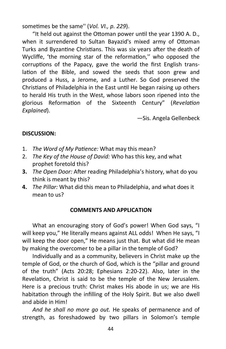sometimes be the same'' (*Vol. VI., p. 229*).

"It held out against the Ottoman power until the year 1390 A. D., when it surrendered to Sultan Bayazid's mixed army of Ottoman Turks and Byzantine Christians. This was six years after the death of Wycliffe, 'the morning star of the reformation," who opposed the corruptions of the Papacy, gave the world the first English translation of the Bible, and sowed the seeds that soon grew and produced a Huss, a Jerome, and a Luther. So God preserved the Christians of Philadelphia in the East until He began raising up others to herald His truth in the West, whose labors soon ripened into the glorious Reformation of the Sixteenth Century" (*Revelation Explained*).

—Sis. Angela Gellenbeck

# **DISCUSSION:**

- 1. *The Word of My Patience:* What may this mean?
- 2. *The Key of the House of David:* Who has this key, and what prophet foretold this?
- **3.** *The Open Door:* After reading Philadelphia's history, what do you think is meant by this?
- **4.** *The Pillar:* What did this mean to Philadelphia, and what does it mean to us?

## **COMMENTS AND APPLICATION**

What an encouraging story of God's power! When God says, "I will keep you," He literally means against ALL odds! When He says, "I will keep the door open," He means just that. But what did He mean by making the overcomer to be a pillar in the temple of God?

Individually and as a community, believers in Christ make up the temple of God, or the church of God, which is the "pillar and ground of the truth" (Acts 20:28; Ephesians 2:20-22). Also, later in the Revelation, Christ is said to be the temple of the New Jerusalem. Here is a precious truth: Christ makes His abode in us; we are His habitation through the infilling of the Holy Spirit. But we also dwell and abide in Him!

*And he shall no more go out.* He speaks of permanence and of strength, as foreshadowed by two pillars in Solomon's temple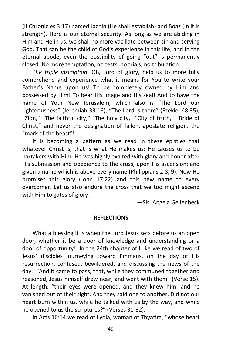(II Chronicles 3:17) named Jachin (He shall establish) and Boaz (In it is strength). Here is our eternal security. As long as we are abiding in Him and He in us, we shall no more vacillate between sin and serving God. That can be the child of God's experience in this life; and in the eternal abode, even the possibility of going "out" is permanently closed. No more temptation, no tests, no trials, no tribulation.

*The triple inscription*. Oh, Lord of glory, help us to more fully comprehend and experience what it means for You to write your Father's Name upon us! To be completely owned by Him and possessed by Him! To bear His image and His seal! And to have the name of Your New Jerusalem, which also is "The Lord our righteousness" (Jeremiah 33:16), "The Lord is there" (Ezekiel 48:35), "Zion," "The faithful city," "The holy city," "City of truth," "Bride of Christ," and never the designation of fallen, apostate religion, the "mark of the beast"!

It is becoming a pattern as we read in these epistles that whatever Christ is, that is what He makes us; He causes us to be partakers with Him. He was highly exalted with glory and honor after His submission and obedience to the cross, upon His ascension; and given a name which is above every name (Philippians 2:8, 9). Now He promises this glory (John 17:22) and this new name to every overcomer. Let us also endure the cross that we too might ascend with Him to gates of glory!

—Sis. Angela Gellenbeck

## **REFLECTIONS**

What a blessing it is when the Lord Jesus sets before us an open door, whether it be a door of knowledge and understanding or a door of opportunity! In the 24th chapter of Luke we read of two of Jesus' disciples journeying toward Emmaus, on the day of His resurrection, confused, bewildered, and discussing the news of the day. "And it came to pass, that, while they communed together and reasoned, Jesus himself drew near, and went with them" (Verse 15). At length, "their eyes were opened, and they knew him; and he vanished out of their sight. And they said one to another, Did not our heart burn within us, while he talked with us by the way, and while he opened to us the scriptures?" (Verses 31-32).

In Acts 16:14 we read of Lydia, woman of Thyatira, "whose heart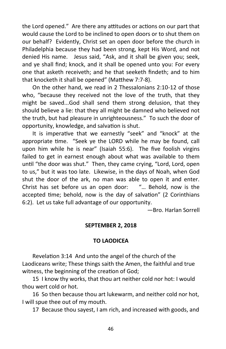the Lord opened." Are there any attitudes or actions on our part that would cause the Lord to be inclined to open doors or to shut them on our behalf? Evidently, Christ set an open door before the church in Philadelphia because they had been strong, kept His Word, and not denied His name. Jesus said, "Ask, and it shall be given you; seek, and ye shall find; knock, and it shall be opened unto you: For every one that asketh receiveth; and he that seeketh findeth; and to him that knocketh it shall be opened" (Matthew 7:7-8).

On the other hand, we read in 2 Thessalonians 2:10-12 of those who, "because they received not the love of the truth, that they might be saved...God shall send them strong delusion, that they should believe a lie: that they all might be damned who believed not the truth, but had pleasure in unrighteousness." To such the door of opportunity, knowledge, and salvation is shut.

It is imperative that we earnestly "seek" and "knock" at the appropriate time. "Seek ye the LORD while he may be found, call upon him while he is near" (Isaiah 55:6). The five foolish virgins failed to get in earnest enough about what was available to them until "the door was shut." Then, they came crying, "Lord, Lord, open to us," but it was too late. Likewise, in the days of Noah, when God shut the door of the ark, no man was able to open it and enter. Christ has set before us an open door: "… Behold, now is the accepted time; behold, now is the day of salvation" (2 Corinthians 6:2). Let us take full advantage of our opportunity.

—Bro. Harlan Sorrell

#### **SEPTEMBER 2, 2018**

#### **TO LAODICEA**

Revelation 3:14 And unto the angel of the church of the Laodiceans write; These things saith the Amen, the faithful and true witness, the beginning of the creation of God;

15 I know thy works, that thou art neither cold nor hot: I would thou wert cold or hot.

16 So then because thou art lukewarm, and neither cold nor hot, I will spue thee out of my mouth.

17 Because thou sayest, I am rich, and increased with goods, and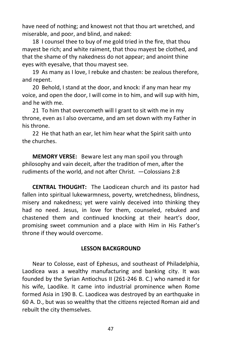have need of nothing; and knowest not that thou art wretched, and miserable, and poor, and blind, and naked:

18 I counsel thee to buy of me gold tried in the fire, that thou mayest be rich; and white raiment, that thou mayest be clothed, and that the shame of thy nakedness do not appear; and anoint thine eyes with eyesalve, that thou mayest see.

19 As many as I love, I rebuke and chasten: be zealous therefore, and repent.

20 Behold, I stand at the door, and knock: if any man hear my voice, and open the door, I will come in to him, and will sup with him, and he with me.

21 To him that overcometh will I grant to sit with me in my throne, even as I also overcame, and am set down with my Father in his throne.

22 He that hath an ear, let him hear what the Spirit saith unto the churches.

**MEMORY VERSE:** Beware lest any man spoil you through philosophy and vain deceit, after the tradition of men, after the rudiments of the world, and not after Christ. —Colossians 2:8

**CENTRAL THOUGHT:** The Laodicean church and its pastor had fallen into spiritual lukewarmness, poverty, wretchedness, blindness, misery and nakedness; yet were vainly deceived into thinking they had no need. Jesus, in love for them, counseled, rebuked and chastened them and continued knocking at their heart's door, promising sweet communion and a place with Him in His Father's throne if they would overcome.

## **LESSON BACKGROUND**

Near to Colosse, east of Ephesus, and southeast of Philadelphia, Laodicea was a wealthy manufacturing and banking city. It was founded by the Syrian Antiochus II (261-246 B. C.) who named it for his wife, Laodike. It came into industrial prominence when Rome formed Asia in 190 B. C. Laodicea was destroyed by an earthquake in 60 A. D., but was so wealthy that the citizens rejected Roman aid and rebuilt the city themselves.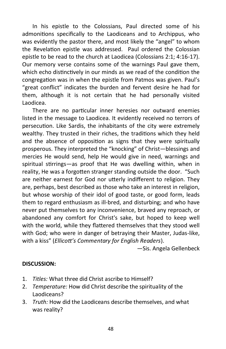In his epistle to the Colossians, Paul directed some of his admonitions specifically to the Laodiceans and to Archippus, who was evidently the pastor there, and most likely the "angel" to whom the Revelation epistle was addressed. Paul ordered the Colossian epistle to be read to the church at Laodicea (Colossians 2:1; 4:16-17). Our memory verse contains some of the warnings Paul gave them, which echo distinctively in our minds as we read of the condition the congregation was in when the epistle from Patmos was given. Paul's "great conflict" indicates the burden and fervent desire he had for them, although it is not certain that he had personally visited Laodicea.

There are no particular inner heresies nor outward enemies listed in the message to Laodicea. It evidently received no terrors of persecution. Like Sardis, the inhabitants of the city were extremely wealthy. They trusted in their riches, the traditions which they held and the absence of opposition as signs that they were spiritually prosperous. They interpreted the "knocking" of Christ—blessings and mercies He would send, help He would give in need, warnings and spiritual stirrings—as proof that He was dwelling within, when in reality, He was a forgotten stranger standing outside the door. "Such are neither earnest for God nor utterly indifferent to religion. They are, perhaps, best described as those who take an interest in religion, but whose worship of their idol of good taste, or good form, leads them to regard enthusiasm as ill-bred, and disturbing; and who have never put themselves to any inconvenience, braved any reproach, or abandoned any comfort for Christ's sake, but hoped to keep well with the world, while they flattered themselves that they stood well with God; who were in danger of betraying their Master, Judas-like, with a kiss" (*Ellicott's Commentary for English Readers*).

—Sis. Angela Gellenbeck

## **DISCUSSION:**

- 1. *Titles:* What three did Christ ascribe to Himself?
- 2. *Temperature:* How did Christ describe the spirituality of the Laodiceans?
- 3. *Truth:* How did the Laodiceans describe themselves, and what was reality?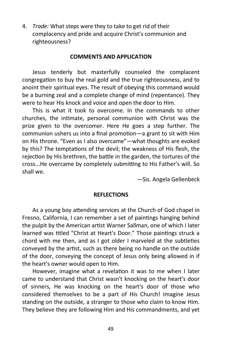4. *Trade:* What steps were they to take to get rid of their complacency and pride and acquire Christ's communion and righteousness?

## **COMMENTS AND APPLICATION**

Jesus tenderly but masterfully counseled the complacent congregation to buy the real gold and the true righteousness, and to anoint their spiritual eyes. The result of obeying this command would be a burning zeal and a complete change of mind (repentance). They were to hear His knock and voice and open the door to Him.

This is what it took to overcome. In the commands to other churches, the intimate, personal communion with Christ was the prize given to the overcomer. Here He goes a step further. The communion ushers us into a final promotion—a grant to sit with Him on His throne. "Even as I also overcame"—what thoughts are evoked by this? The temptations of the devil; the weakness of His flesh, the rejection by His brethren, the battle in the garden, the tortures of the cross...He overcame by completely submitting to His Father's will. So shall we.

—Sis. Angela Gellenbeck

## **REFLECTIONS**

As a young boy attending services at the Church of God chapel in Fresno, California, I can remember a set of paintings hanging behind the pulpit by the American artist Warner Sallman, one of which I later learned was titled "Christ at Heart's Door." Those paintings struck a chord with me then, and as I got older I marveled at the subtleties conveyed by the artist, such as there being no handle on the outside of the door, conveying the concept of Jesus only being allowed in if the heart's owner would open to Him.

However, imagine what a revelation it was to me when I later came to understand that Christ wasn't knocking on the heart's door of sinners, He was knocking on the heart's door of those who considered themselves to be a part of His Church! Imagine Jesus standing on the outside, a stranger to those who claim to know Him. They believe they are following Him and His commandments, and yet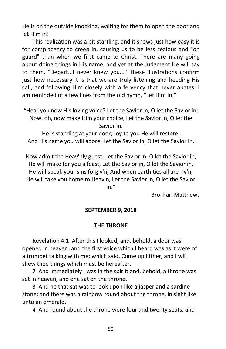He is on the outside knocking, waiting for them to open the door and let Him in!

This realization was a bit startling, and it shows just how easy it is for complacency to creep in, causing us to be less zealous and "on guard" than when we first came to Christ. There are many going about doing things in His name, and yet at the Judgment He will say to them, "Depart...I never knew you..." These illustrations confirm just how necessary it is that we are truly listening and heeding His call, and following Him closely with a fervency that never abates. I am reminded of a few lines from the old hymn, "Let Him In:"

He is standing at your door; Joy to you He will restore, And His name you will adore, Let the Savior in, O let the Savior in.

Now admit the Heav'nly guest, Let the Savior in, O let the Savior in; He will make for you a feast, Let the Savior in, O let the Savior in. He will speak your sins forgiv'n, And when earth ties all are riv'n, He will take you home to Heav'n, Let the Savior in, O let the Savior

in."

—Bro. Fari Matthews

## **SEPTEMBER 9, 2018**

## **THE THRONE**

Revelation 4:1 After this I looked, and, behold, a door was opened in heaven: and the first voice which I heard was as it were of a trumpet talking with me; which said, Come up hither, and I will shew thee things which must be hereafter.

2 And immediately I was in the spirit: and, behold, a throne was set in heaven, and one sat on the throne.

3 And he that sat was to look upon like a jasper and a sardine stone: and there was a rainbow round about the throne, in sight like unto an emerald.

4 And round about the throne were four and twenty seats: and

<sup>&</sup>quot;Hear you now His loving voice? Let the Savior in, O let the Savior in; Now, oh, now make Him your choice, Let the Savior in, O let the Savior in.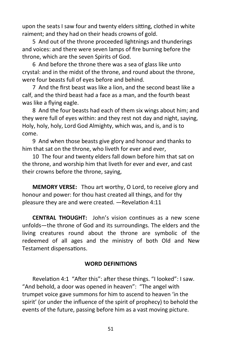upon the seats I saw four and twenty elders sitting, clothed in white raiment; and they had on their heads crowns of gold.

5 And out of the throne proceeded lightnings and thunderings and voices: and there were seven lamps of fire burning before the throne, which are the seven Spirits of God.

6 And before the throne there was a sea of glass like unto crystal: and in the midst of the throne, and round about the throne, were four beasts full of eyes before and behind.

7 And the first beast was like a lion, and the second beast like a calf, and the third beast had a face as a man, and the fourth beast was like a flying eagle.

8 And the four beasts had each of them six wings about him; and they were full of eyes within: and they rest not day and night, saying, Holy, holy, holy, Lord God Almighty, which was, and is, and is to come.

9 And when those beasts give glory and honour and thanks to him that sat on the throne, who liveth for ever and ever,

10 The four and twenty elders fall down before him that sat on the throne, and worship him that liveth for ever and ever, and cast their crowns before the throne, saying,

**MEMORY VERSE:** Thou art worthy, O Lord, to receive glory and honour and power: for thou hast created all things, and for thy pleasure they are and were created. —Revelation 4:11

**CENTRAL THOUGHT:** John's vision continues as a new scene unfolds—the throne of God and its surroundings. The elders and the living creatures round about the throne are symbolic of the redeemed of all ages and the ministry of both Old and New Testament dispensations.

## **WORD DEFINITIONS**

Revelation 4:1 "After this": after these things. "I looked": I saw. "And behold, a door was opened in heaven": "The angel with trumpet voice gave summons for him to ascend to heaven 'in the spirit' (or under the influence of the spirit of prophecy) to behold the events of the future, passing before him as a vast moving picture.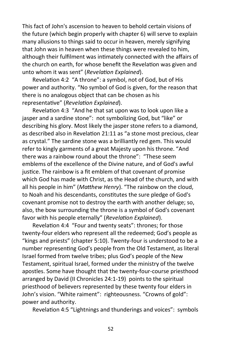This fact of John's ascension to heaven to behold certain visions of the future (which begin properly with chapter 6) will serve to explain many allusions to things said to occur in heaven, merely signifying that John was in heaven when these things were revealed to him, although their fulfilment was intimately connected with the affairs of the church on earth, for whose benefit the Revelation was given and unto whom it was sent" (*Revelation Explained*).

Revelation 4:2 "A throne": a symbol, not of God, but of His power and authority. "No symbol of God is given, for the reason that there is no analogous object that can be chosen as his representative" (*Revelation Explained*).

Revelation 4:3 "And he that sat upon was to look upon like a jasper and a sardine stone": not symbolizing God, but "like" or describing his glory. Most likely the jasper stone refers to a diamond, as described also in Revelation 21:11 as "a stone most precious, clear as crystal." The sardine stone was a brilliantly red gem. This would refer to kingly garments of a great Majesty upon his throne. "And there was a rainbow round about the throne": "These seem emblems of the excellence of the Divine nature, and of God's awful justice. The rainbow is a fit emblem of that covenant of promise which God has made with Christ, as the Head of the church, and with all his people in him" (*Matthew Henry*). "The rainbow on the cloud, to Noah and his descendants, constitutes the sure pledge of God's covenant promise not to destroy the earth with another deluge; so, also, the bow surrounding the throne is a symbol of God's covenant favor with his people eternally" (*Revelation Explained*).

Revelation 4:4 "Four and twenty seats": thrones; for those twenty-four elders who represent all the redeemed; God's people as "kings and priests" (chapter 5:10). Twenty-four is understood to be a number representing God's people from the Old Testament, as literal Israel formed from twelve tribes; plus God's people of the New Testament, spiritual Israel, formed under the ministry of the twelve apostles. Some have thought that the twenty-four-course priesthood arranged by David (II Chronicles 24:1-19) points to the spiritual priesthood of believers represented by these twenty four elders in John's vision. "White raiment": righteousness. "Crowns of gold": power and authority.

Revelation 4:5 "Lightnings and thunderings and voices": symbols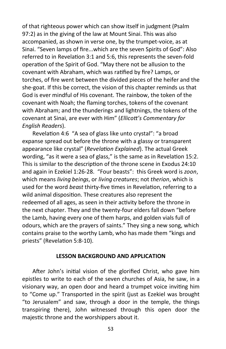of that righteous power which can show itself in judgment (Psalm 97:2) as in the giving of the law at Mount Sinai. This was also accompanied, as shown in verse one, by the trumpet-voice, as at Sinai. "Seven lamps of fire...which are the seven Spirits of God": Also referred to in Revelation 3:1 and 5:6, this represents the seven-fold operation of the Spirit of God. "May there not be allusion to the covenant with Abraham, which was ratified by fire? Lamps, or torches, of fire went between the divided pieces of the heifer and the she-goat. If this be correct, the vision of this chapter reminds us that God is ever mindful of His covenant. The rainbow, the token of the covenant with Noah; the flaming torches, tokens of the covenant with Abraham; and the thunderings and lightnings, the tokens of the covenant at Sinai, are ever with Him" (*Ellicott's Commentary for English Readers*).

Revelation 4:6 "A sea of glass like unto crystal": "a broad expanse spread out before the throne with a glassy or transparent appearance like crystal" (*Revelation Explained*). The actual Greek wording, "as it were a sea of glass," is the same as in Revelation 15:2. This is similar to the description of the throne scene in Exodus 24:10 and again in Ezekiel 1:26-28. "Four beasts": this Greek word is *zoon*, which means *living beings*, or *living creatures*; not *therion*, which is used for the word *beast* thirty-five times in Revelation, referring to a wild animal disposition. These creatures also represent the redeemed of all ages, as seen in their activity before the throne in the next chapter. They and the twenty-four elders fall down "before the Lamb, having every one of them harps, and golden vials full of odours, which are the prayers of saints." They sing a new song, which contains praise to the worthy Lamb, who has made them "kings and priests" (Revelation 5:8-10).

## **LESSON BACKGROUND AND APPLICATION**

After John's initial vision of the glorified Christ, who gave him epistles to write to each of the seven churches of Asia, he saw, in a visionary way, an open door and heard a trumpet voice inviting him to "Come up." Transported in the spirit (just as Ezekiel was brought "to Jerusalem" and saw, through a door in the temple, the things transpiring there), John witnessed through this open door the majestic throne and the worshippers about it.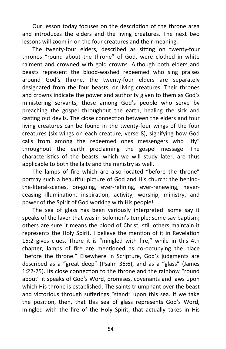Our lesson today focuses on the description of the throne area and introduces the elders and the living creatures. The next two lessons will zoom in on the four creatures and their meaning.

The twenty-four elders, described as sitting on twenty-four thrones "round about the throne" of God, were clothed in white raiment and crowned with gold crowns. Although both elders and beasts represent the blood-washed redeemed who sing praises around God's throne, the twenty-four elders are separately designated from the four beasts, or living creatures. Their thrones and crowns indicate the power and authority given to them as God's ministering servants, those among God's people who serve by preaching the gospel throughout the earth, healing the sick and casting out devils. The close connection between the elders and four living creatures can be found in the twenty-four wings of the four creatures (six wings on each creature, verse 8), signifying how God calls from among the redeemed ones messengers who "fly" throughout the earth proclaiming the gospel message. The characteristics of the beasts, which we will study later, are thus applicable to both the laity and the ministry as well.

The lamps of fire which are also located "before the throne" portray such a beautiful picture of God and His church: the behindthe-literal-scenes, on-going, ever-refining, ever-renewing, neverceasing illumination, inspiration, activity, worship, ministry, and power of the Spirit of God working with His people!

The sea of glass has been variously interpreted: some say it speaks of the laver that was in Solomon's temple; some say baptism; others are sure it means the blood of Christ; still others maintain it represents the Holy Spirit. I believe the mention of it in Revelation 15:2 gives clues. There it is "mingled with fire," while in this 4th chapter, lamps of fire are mentioned as co-occupying the place "before the throne." Elsewhere in Scripture, God's judgments are described as a "great deep" (Psalm 36:6), and as a "glass" (James 1:22-25). Its close connection to the throne and the rainbow "round about" it speaks of God's Word, promises, covenants and laws upon which His throne is established. The saints triumphant over the beast and victorious through sufferings "stand" upon this sea. If we take the position, then, that this sea of glass represents God's Word, mingled with the fire of the Holy Spirit, that actually takes in His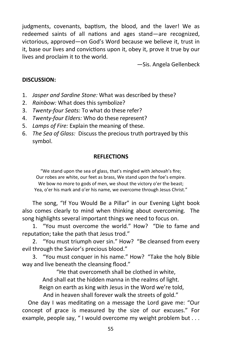judgments, covenants, baptism, the blood, and the laver! We as redeemed saints of all nations and ages stand—are recognized, victorious, approved—on God's Word because we believe it, trust in it, base our lives and convictions upon it, obey it, prove it true by our lives and proclaim it to the world.

—Sis. Angela Gellenbeck

## **DISCUSSION:**

- 1. *Jasper and Sardine Stone:* What was described by these?
- 2. *Rainbow:* What does this symbolize?
- 3. *Twenty-four Seats:* To what do these refer?
- 4. *Twenty-four Elders:* Who do these represent?
- 5. *Lamps of Fire:* Explain the meaning of these.
- 6. *The Sea of Glass:* Discuss the precious truth portrayed by this symbol.

## **REFLECTIONS**

"We stand upon the sea of glass, that's mingled with Jehovah's fire; Our robes are white, our feet as brass, We stand upon the foe's empire. We bow no more to gods of men, we shout the victory o'er the beast; Yea, o'er his mark and o'er his name, we overcome through Jesus Christ."

The song, "If You Would Be a Pillar" in our Evening Light book also comes clearly to mind when thinking about overcoming. The song highlights several important things we need to focus on.

1. "You must overcome the world." How? "Die to fame and reputation; take the path that Jesus trod."

2. "You must triumph over sin." How? "Be cleansed from every evil through the Savior's precious blood."

3. "You must conquer in his name." How? "Take the holy Bible way and live beneath the cleansing flood."

"He that overcometh shall be clothed in white, And shall eat the hidden manna in the realms of light. Reign on earth as king with Jesus in the Word we're told,

And in heaven shall forever walk the streets of gold."

 One day I was meditating on a message the Lord gave me: "Our concept of grace is measured by the size of our excuses." For example, people say, "I would overcome my weight problem but . . .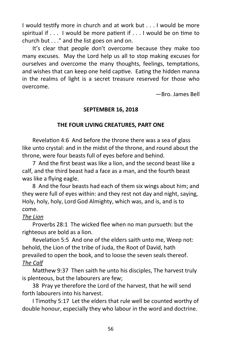I would testify more in church and at work but . . . I would be more spiritual if . . . I would be more patient if . . . I would be on time to church but . . ." and the list goes on and on.

It's clear that people don't overcome because they make too many excuses. May the Lord help us all to stop making excuses for ourselves and overcome the many thoughts, feelings, temptations, and wishes that can keep one held captive. Eating the hidden manna in the realms of light is a secret treasure reserved for those who overcome.

—Bro. James Bell

# **SEPTEMBER 16, 2018**

# **THE FOUR LIVING CREATURES, PART ONE**

Revelation 4:6 And before the throne there was a sea of glass like unto crystal: and in the midst of the throne, and round about the throne, were four beasts full of eyes before and behind.

7 And the first beast was like a lion, and the second beast like a calf, and the third beast had a face as a man, and the fourth beast was like a flying eagle.

8 And the four beasts had each of them six wings about him; and they were full of eyes within: and they rest not day and night, saying, Holy, holy, holy, Lord God Almighty, which was, and is, and is to come.

## *The Lion*

Proverbs 28:1 The wicked flee when no man pursueth: but the righteous are bold as a lion.

Revelation 5:5 And one of the elders saith unto me, Weep not: behold, the Lion of the tribe of Juda, the Root of David, hath prevailed to open the book, and to loose the seven seals thereof. *The Calf*

Matthew 9:37 Then saith he unto his disciples, The harvest truly is plenteous, but the labourers are few;

38 Pray ye therefore the Lord of the harvest, that he will send forth labourers into his harvest.

I Timothy 5:17 Let the elders that rule well be counted worthy of double honour, especially they who labour in the word and doctrine.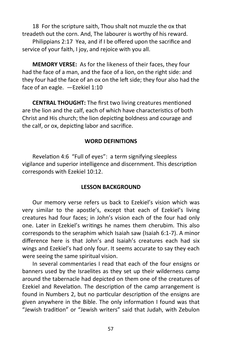18 For the scripture saith, Thou shalt not muzzle the ox that treadeth out the corn. And, The labourer is worthy of his reward.

Philippians 2:17 Yea, and if I be offered upon the sacrifice and service of your faith, I joy, and rejoice with you all.

**MEMORY VERSE:** As for the likeness of their faces, they four had the face of a man, and the face of a lion, on the right side: and they four had the face of an ox on the left side; they four also had the face of an eagle. —Ezekiel 1:10

**CENTRAL THOUGHT:** The first two living creatures mentioned are the lion and the calf, each of which have characteristics of both Christ and His church; the lion depicting boldness and courage and the calf, or ox, depicting labor and sacrifice.

## **WORD DEFINITIONS**

Revelation 4:6 "Full of eyes": a term signifying sleepless vigilance and superior intelligence and discernment. This description corresponds with Ezekiel 10:12.

## **LESSON BACKGROUND**

Our memory verse refers us back to Ezekiel's vision which was very similar to the apostle's, except that each of Ezekiel's living creatures had four faces; in John's vision each of the four had only one. Later in Ezekiel's writings he names them cherubim. This also corresponds to the seraphim which Isaiah saw (Isaiah 6:1-7). A minor difference here is that John's and Isaiah's creatures each had six wings and Ezekiel's had only four. It seems accurate to say they each were seeing the same spiritual vision.

In several commentaries I read that each of the four ensigns or banners used by the Israelites as they set up their wilderness camp around the tabernacle had depicted on them one of the creatures of Ezekiel and Revelation. The description of the camp arrangement is found in Numbers 2, but no particular description of the ensigns are given anywhere in the Bible. The only information I found was that "Jewish tradition" or "Jewish writers" said that Judah, with Zebulon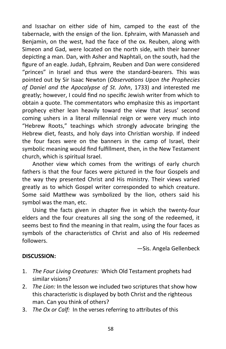and Issachar on either side of him, camped to the east of the tabernacle, with the ensign of the lion. Ephraim, with Manasseh and Benjamin, on the west, had the face of the ox. Reuben, along with Simeon and Gad, were located on the north side, with their banner depicting a man. Dan, with Asher and Naphtali, on the south, had the figure of an eagle. Judah, Ephraim, Reuben and Dan were considered "princes" in Israel and thus were the standard-bearers. This was pointed out by Sir Isaac Newton (*Observations Upon the Prophecies of Daniel and the Apocalypse of St. John*, 1733) and interested me greatly; however, I could find no specific Jewish writer from which to obtain a quote. The commentators who emphasize this as important prophecy either lean heavily toward the view that Jesus' second coming ushers in a literal millennial reign or were very much into "Hebrew Roots," teachings which strongly advocate bringing the Hebrew diet, feasts, and holy days into Christian worship. If indeed the four faces were on the banners in the camp of Israel, their symbolic meaning would find fulfillment, then, in the New Testament church, which is spiritual Israel.

Another view which comes from the writings of early church fathers is that the four faces were pictured in the four Gospels and the way they presented Christ and His ministry. Their views varied greatly as to which Gospel writer corresponded to which creature. Some said Matthew was symbolized by the lion, others said his symbol was the man, etc.

Using the facts given in chapter five in which the twenty-four elders and the four creatures all sing the song of the redeemed, it seems best to find the meaning in that realm, using the four faces as symbols of the characteristics of Christ and also of His redeemed followers.

—Sis. Angela Gellenbeck

## **DISCUSSION:**

- 1. *The Four Living Creatures:* Which Old Testament prophets had similar visions?
- 2. *The Lion:* In the lesson we included two scriptures that show how this characteristic is displayed by both Christ and the righteous man. Can you think of others?
- 3. *The Ox or Calf:* In the verses referring to attributes of this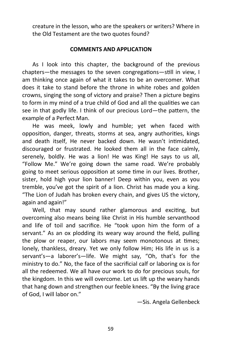creature in the lesson, who are the speakers or writers? Where in the Old Testament are the two quotes found?

## **COMMENTS AND APPLICATION**

As I look into this chapter, the background of the previous chapters—the messages to the seven congregations—still in view, I am thinking once again of what it takes to be an overcomer. What does it take to stand before the throne in white robes and golden crowns, singing the song of victory and praise? Then a picture begins to form in my mind of a true child of God and all the qualities we can see in that godly life. I think of our precious Lord—the pattern, the example of a Perfect Man.

He was meek, lowly and humble; yet when faced with opposition, danger, threats, storms at sea, angry authorities, kings and death itself, He never backed down. He wasn't intimidated, discouraged or frustrated. He looked them all in the face calmly, serenely, boldly. He was a lion! He was King! He says to us all, "Follow Me." We're going down the same road. We're probably going to meet serious opposition at some time in our lives. Brother, sister, hold high your lion banner! Deep within you, even as you tremble, you've got the spirit of a lion. Christ has made you a king. "The Lion of Judah has broken every chain, and gives US the victory, again and again!"

Well, that may sound rather glamorous and exciting, but overcoming also means being like Christ in His humble servanthood and life of toil and sacrifice. He "took upon him the form of a servant." As an ox plodding its weary way around the field, pulling the plow or reaper, our labors may seem monotonous at times; lonely, thankless, dreary. Yet we only follow Him; His life in us is a servant's—a laborer's—life. We might say, "Oh, that's for the ministry to do." No, the face of the sacrificial calf or laboring ox is for all the redeemed. We all have our work to do for precious souls, for the kingdom. In this we will overcome. Let us lift up the weary hands that hang down and strengthen our feeble knees. "By the living grace of God, I will labor on."

—Sis. Angela Gellenbeck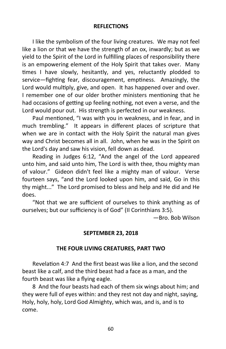## **REFLECTIONS**

I like the symbolism of the four living creatures. We may not feel like a lion or that we have the strength of an ox, inwardly; but as we yield to the Spirit of the Lord in fulfilling places of responsibility there is an empowering element of the Holy Spirit that takes over. Many times I have slowly, hesitantly, and yes, reluctantly plodded to service—fighting fear, discouragement, emptiness. Amazingly, the Lord would multiply, give, and open. It has happened over and over. I remember one of our older brother ministers mentioning that he had occasions of getting up feeling nothing, not even a verse, and the Lord would pour out. His strength is perfected in our weakness.

Paul mentioned, "I was with you in weakness, and in fear, and in much trembling." It appears in different places of scripture that when we are in contact with the Holy Spirit the natural man gives way and Christ becomes all in all. John, when he was in the Spirit on the Lord's day and saw his vision, fell down as dead.

Reading in Judges 6:12, "And the angel of the Lord appeared unto him, and said unto him, The Lord is with thee, thou mighty man of valour." Gideon didn't feel like a mighty man of valour. Verse fourteen says, "and the Lord looked upon him, and said, Go in this thy might..." The Lord promised to bless and help and He did and He does.

"Not that we are sufficient of ourselves to think anything as of ourselves; but our sufficiency is of God" (II Corinthians 3:5).

—Bro. Bob Wilson

## **SEPTEMBER 23, 2018**

## **THE FOUR LIVING CREATURES, PART TWO**

Revelation 4:7 And the first beast was like a lion, and the second beast like a calf, and the third beast had a face as a man, and the fourth beast was like a flying eagle.

8 And the four beasts had each of them six wings about him; and they were full of eyes within: and they rest not day and night, saying, Holy, holy, holy, Lord God Almighty, which was, and is, and is to come.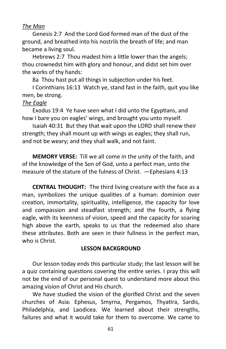## *The Man*

Genesis 2:7 And the Lord God formed man of the dust of the ground, and breathed into his nostrils the breath of life; and man became a living soul.

Hebrews 2:7 Thou madest him a little lower than the angels; thou crownedst him with glory and honour, and didst set him over the works of thy hands:

8a Thou hast put all things in subjection under his feet.

I Corinthians 16:13 Watch ye, stand fast in the faith, quit you like men, be strong.

## *The Eagle*

Exodus 19:4 Ye have seen what I did unto the Egyptians, and how I bare you on eagles' wings, and brought you unto myself.

Isaiah 40:31 But they that wait upon the LORD shall renew their strength; they shall mount up with wings as eagles; they shall run, and not be weary; and they shall walk, and not faint.

**MEMORY VERSE:** Till we all come in the unity of the faith, and of the knowledge of the Son of God, unto a perfect man, unto the measure of the stature of the fulness of Christ. —Ephesians 4:13

**CENTRAL THOUGHT:** The third living creature with the face as a man, symbolizes the unique qualities of a human: dominion over creation, immortality, spirituality, intelligence, the capacity for love and compassion and steadfast strength; and the fourth, a flying eagle, with its keenness of vision, speed and the capacity for soaring high above the earth, speaks to us that the redeemed also share these attributes. Both are seen in their fullness in the perfect man, who is Christ.

#### **LESSON BACKGROUND**

Our lesson today ends this particular study; the last lesson will be a quiz containing questions covering the entire series. I pray this will not be the end of our personal quest to understand more about this amazing vision of Christ and His church.

We have studied the vision of the glorified Christ and the seven churches of Asia: Ephesus, Smyrna, Pergamos, Thyatira, Sardis, Philadelphia, and Laodicea. We learned about their strengths, failures and what it would take for them to overcome. We came to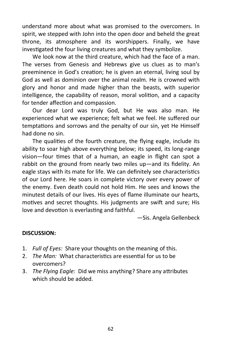understand more about what was promised to the overcomers. In spirit, we stepped with John into the open door and beheld the great throne, its atmosphere and its worshippers. Finally, we have investigated the four living creatures and what they symbolize.

We look now at the third creature, which had the face of a man. The verses from Genesis and Hebrews give us clues as to man's preeminence in God's creation; he is given an eternal, living soul by God as well as dominion over the animal realm. He is crowned with glory and honor and made higher than the beasts, with superior intelligence, the capability of reason, moral volition, and a capacity for tender affection and compassion.

Our dear Lord was truly God, but He was also man. He experienced what we experience; felt what we feel. He suffered our temptations and sorrows and the penalty of our sin, yet He Himself had done no sin.

The qualities of the fourth creature, the flying eagle, include its ability to soar high above everything below; its speed, its long-range vision—four times that of a human, an eagle in flight can spot a rabbit on the ground from nearly two miles up—and its fidelity. An eagle stays with its mate for life. We can definitely see characteristics of our Lord here. He soars in complete victory over every power of the enemy. Even death could not hold Him. He sees and knows the minutest details of our lives. His eyes of flame illuminate our hearts, motives and secret thoughts. His judgments are swift and sure; His love and devotion is everlasting and faithful.

—Sis. Angela Gellenbeck

## **DISCUSSION:**

- 1. *Full of Eyes:* Share your thoughts on the meaning of this.
- 2. *The Man:* What characteristics are essential for us to be overcomers?
- 3. *The Flying Eagle:* Did we miss anything? Share any attributes which should be added.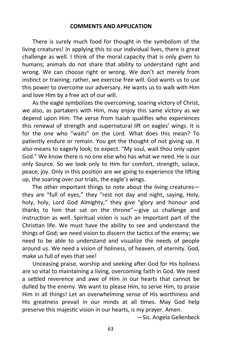#### **COMMENTS AND APPLICATION**

There is surely much food for thought in the symbolism of the living creatures! In applying this to our individual lives, there is great challenge as well. I think of the moral capacity that is only given to humans; animals do not share that ability to understand right and wrong. We can choose right or wrong. We don't act merely from instinct or training; rather, we exercise free will. God wants us to use this power to overcome our adversary. He wants us to walk with Him and love Him by a free act of our will.

As the eagle symbolizes the overcoming, soaring victory of Christ, we also, as partakers with Him, may enjoy this same victory as we depend upon Him. The verse from Isaiah qualifies who experiences this renewal of strength and supernatural lift on eagles' wings. It is for the one who "waits" on the Lord. What does this mean? To patiently endure or remain. You get the thought of not giving up. It also means to eagerly look; to expect. "My soul, wait thou only upon God." We know there is no one else who has what we need. He is our only Source. So we look only to Him for comfort, strength, solace, peace, joy. Only in this position are we going to experience the lifting up, the soaring over our trials, the eagle's wings.

The other important things to note about the living creatures they are "full of eyes," they "rest not day and night, saying, Holy, holy, holy, Lord God Almighty," they give "glory and honour and thanks to him that sat on the throne"—give us challenge and instruction as well. Spiritual vision is such an important part of the Christian life. We must have the ability to see and understand the things of God; we need vision to discern the tactics of the enemy; we need to be able to understand and visualize the needs of people around us. We need a vision of holiness, of heaven, of eternity. God, make us full of eyes that see!

Unceasing praise, worship and seeking after God for His holiness are so vital to maintaining a living, overcoming faith in God. We need a settled reverence and awe of Him in our hearts that cannot be dulled by the enemy. We want to please Him, to serve Him, to praise Him in all things! Let an overwhelming sense of His worthiness and His greatness prevail in our minds at all times. May God help preserve this majestic vision in our hearts, is my prayer. Amen.

—Sis. Angela Gellenbeck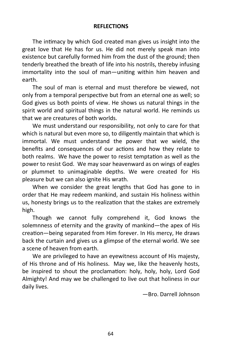## **REFLECTIONS**

The intimacy by which God created man gives us insight into the great love that He has for us. He did not merely speak man into existence but carefully formed him from the dust of the ground; then tenderly breathed the breath of life into his nostrils, thereby infusing immortality into the soul of man—uniting within him heaven and earth.

The soul of man is eternal and must therefore be viewed, not only from a temporal perspective but from an eternal one as well; so God gives us both points of view. He shows us natural things in the spirit world and spiritual things in the natural world. He reminds us that we are creatures of both worlds.

We must understand our responsibility, not only to care for that which is natural but even more so, to diligently maintain that which is immortal. We must understand the power that we wield, the benefits and consequences of our actions and how they relate to both realms. We have the power to resist temptation as well as the power to resist God. We may soar heavenward as on wings of eagles or plummet to unimaginable depths. We were created for His pleasure but we can also ignite His wrath.

When we consider the great lengths that God has gone to in order that He may redeem mankind, and sustain His holiness within us, honesty brings us to the realization that the stakes are extremely high.

Though we cannot fully comprehend it, God knows the solemnness of eternity and the gravity of mankind—the apex of His creation—being separated from Him forever. In His mercy, He draws back the curtain and gives us a glimpse of the eternal world. We see a scene of heaven from earth.

We are privileged to have an eyewitness account of His majesty, of His throne and of His holiness. May we, like the heavenly hosts, be inspired to shout the proclamation: holy, holy, holy, Lord God Almighty! And may we be challenged to live out that holiness in our daily lives.

—Bro. Darrell Johnson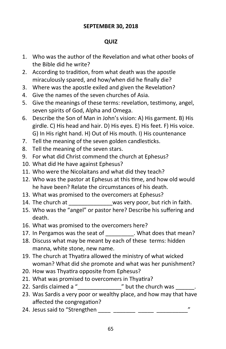## **SEPTEMBER 30, 2018**

# **QUIZ**

- 1. Who was the author of the Revelation and what other books of the Bible did he write?
- 2. According to tradition, from what death was the apostle miraculously spared, and how/when did he finally die?
- 3. Where was the apostle exiled and given the Revelation?
- 4. Give the names of the seven churches of Asia.
- 5. Give the meanings of these terms: revelation, testimony, angel, seven spirits of God, Alpha and Omega.
- 6. Describe the Son of Man in John's vision: A) His garment. B) His girdle. C) His head and hair. D) His eyes. E) His feet. F) His voice. G) In His right hand. H) Out of His mouth. I) His countenance
- 7. Tell the meaning of the seven golden candlesticks.
- 8. Tell the meaning of the seven stars.
- 9. For what did Christ commend the church at Ephesus?
- 10. What did He have against Ephesus?
- 11. Who were the Nicolaitans and what did they teach?
- 12. Who was the pastor at Ephesus at this time, and how old would he have been? Relate the circumstances of his death.
- 13. What was promised to the overcomers at Ephesus?
- 14. The church at \_\_\_\_\_\_\_\_\_\_\_\_\_\_was very poor, but rich in faith.
- 15. Who was the "angel" or pastor here? Describe his suffering and death.
- 16. What was promised to the overcomers here?
- 17. In Pergamos was the seat of \_\_\_\_\_\_\_\_\_. What does that mean?
- 18. Discuss what may be meant by each of these terms: hidden manna, white stone, new name.
- 19. The church at Thyatira allowed the ministry of what wicked woman? What did she promote and what was her punishment?
- 20. How was Thyatira opposite from Ephesus?
- 21. What was promised to overcomers in Thyatira?
- 22. Sardis claimed a " $\frac{1}{2}$  but the church was  $\frac{1}{2}$ .
- 23. Was Sardis a very poor or wealthy place, and how may that have affected the congregation?
- 24. Jesus said to "Strengthen  $\frac{1}{\sqrt{2}}$   $\frac{1}{\sqrt{2}}$   $\frac{1}{\sqrt{2}}$   $\frac{1}{\sqrt{2}}$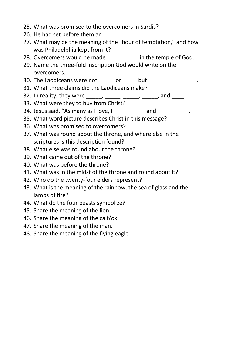- 25. What was promised to the overcomers in Sardis?
- 26. He had set before them an \_\_\_\_\_\_\_\_\_\_\_\_ \_\_\_\_\_\_\_\_
- 27. What may be the meaning of the "hour of temptation," and how was Philadelphia kept from it?
- 28. Overcomers would be made \_\_\_\_\_\_\_\_\_ in the temple of God.
- 29. Name the three-fold inscription God would write on the overcomers.
- 30. The Laodiceans were not \_\_\_\_\_ or \_\_\_\_\_but\_\_\_\_\_\_\_\_\_\_\_\_\_\_\_.
- 31. What three claims did the Laodiceans make?
- 32. In reality, they were  $\frac{1}{2}$  \_\_\_\_, \_\_\_\_, \_\_\_\_, and \_\_\_\_.
- 33. What were they to buy from Christ?
- 34. Jesus said, "As many as I love, I \_\_\_\_\_\_\_\_\_\_ and \_\_\_\_\_\_\_\_\_\_.
- 35. What word picture describes Christ in this message?
- 36. What was promised to overcomers?
- 37. What was round about the throne, and where else in the scriptures is this description found?
- 38. What else was round about the throne?
- 39. What came out of the throne?
- 40. What was before the throne?
- 41. What was in the midst of the throne and round about it?
- 42. Who do the twenty-four elders represent?
- 43. What is the meaning of the rainbow, the sea of glass and the lamps of fire?
- 44. What do the four beasts symbolize?
- 45. Share the meaning of the lion.
- 46. Share the meaning of the calf/ox.
- 47. Share the meaning of the man.
- 48. Share the meaning of the flying eagle.